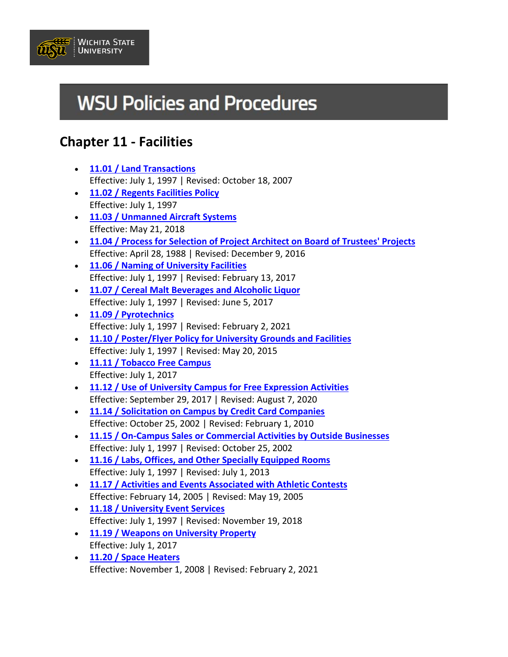

# **WSU Policies and Procedures**

## **Chapter 11 - Facilities**

- **[11.01 / Land Transactions](https://www.wichita.edu/about/policy/ch_11/ch11_01.php)** Effective: July 1, 1997 | Revised: October 18, 2007
- **[11.02 / Regents Facilities Policy](https://www.wichita.edu/about/policy/ch_11/ch11_02.php)** Effective: July 1, 1997
- **[11.03 / Unmanned Aircraft Systems](https://www.wichita.edu/about/policy/ch_11/ch11_03.php)** Effective: May 21, 2018
- **[11.04 / Process for Selection of Project Architect on Board of Trustees' Projects](https://www.wichita.edu/about/policy/ch_11/ch11_04.php)** Effective: April 28, 1988 | Revised: December 9, 2016
- **[11.06 / Naming of University Facilities](https://www.wichita.edu/about/policy/ch_11/ch11_06.php)** Effective: July 1, 1997 | Revised: February 13, 2017
- **[11.07 / Cereal Malt Beverages and Alcoholic Liquor](https://www.wichita.edu/about/policy/ch_11/ch11_07.php)** Effective: July 1, 1997 | Revised: June 5, 2017
- **[11.09 / Pyrotechnics](https://www.wichita.edu/about/policy/ch_11/ch11_09.php)** Effective: July 1, 1997 | Revised: February 2, 2021
- **[11.10 / Poster/Flyer Policy for University Grounds and Facilities](https://www.wichita.edu/about/policy/ch_11/ch11_10.php)** Effective: July 1, 1997 | Revised: May 20, 2015
- **[11.11 / Tobacco Free Campus](https://www.wichita.edu/about/policy/ch_11/ch11_11.php)** Effective: July 1, 2017
- **[11.12 / Use of University Campus for Free Expression Activities](https://www.wichita.edu/about/policy/ch_11/ch11_12.php)** Effective: September 29, 2017 | Revised: August 7, 2020
- **[11.14 / Solicitation on Campus by Credit Card Companies](https://www.wichita.edu/about/policy/ch_11/ch11_14.php)** Effective: October 25, 2002 | Revised: February 1, 2010
- **[11.15 / On-Campus Sales or Commercial Activities by Outside Businesses](https://www.wichita.edu/about/policy/ch_11/ch11_15.php)** Effective: July 1, 1997 | Revised: October 25, 2002
- **[11.16 / Labs, Offices, and Other Specially Equipped Rooms](https://www.wichita.edu/about/policy/ch_11/ch11_16.php)** Effective: July 1, 1997 | Revised: July 1, 2013
- **[11.17 / Activities and Events Associated with Athletic Contests](https://www.wichita.edu/about/policy/ch_11/ch11_17.php)** Effective: February 14, 2005 | Revised: May 19, 2005
- **[11.18 / University Event Services](https://www.wichita.edu/about/policy/ch_11/ch11_18.php)** Effective: July 1, 1997 | Revised: November 19, 2018
- **[11.19 / Weapons on University Property](https://www.wichita.edu/about/policy/ch_11/ch11_19.php)** Effective: July 1, 2017
- **[11.20 / Space Heaters](https://www.wichita.edu/about/policy/ch_11/ch11_20.php)** Effective: November 1, 2008 | Revised: February 2, 2021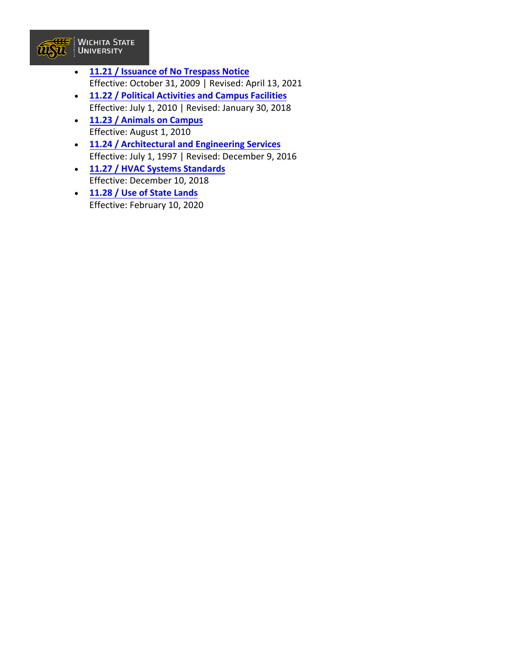

- **11.21 / Issuance of No [Trespass](https://www.wichita.edu/about/policy/ch_11/ch11_21.php) Notice**  Effective: October 31, 2009 | Revised: April 13, 2021
- **[11.22 / Political Activities and Campus Facilities](https://www.wichita.edu/about/policy/ch_11/ch11_22.php)** Effective: July 1, 2010 | Revised: January 30, 2018
- **11.23 / [Animals on Campus](https://www.wichita.edu/about/policy/ch_11/ch11_23.php)** Effective: August 1, 2010
- **11.24 / [Architectural and Engineering Services](https://www.wichita.edu/about/policy/ch_11/ch11_24.php)** Effective: July 1, 1997 | Revised: December 9, 2016
- **[11.27 / HVAC Systems Standards](https://www.wichita.edu/about/policy/ch_11/ch11_27.php)** Effective: December 10, 2018
- **[11.28 / Use of State Lands](https://www.wichita.edu/about/policy/ch_11/ch11_28.php)** Effective: February 10, 2020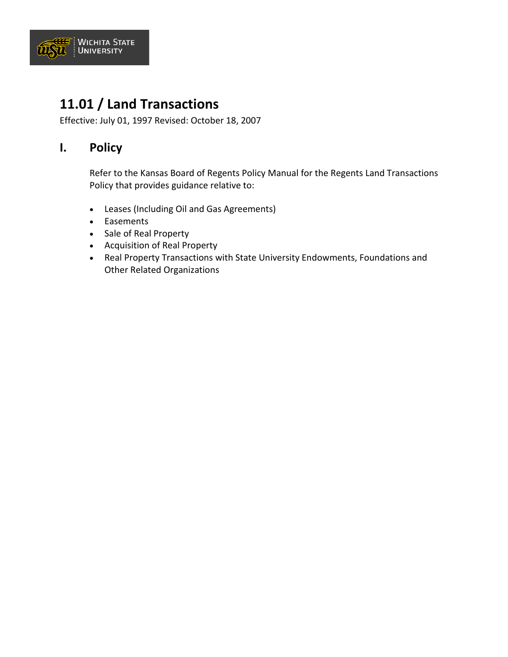

## **11.01 / Land Transactions**

Effective: July 01, 1997 Revised: October 18, 2007

#### **I. Policy**

Refer to the Kansas Board of Regents Policy Manual for the Regents Land Transactions Policy that provides guidance relative to:

- Leases (Including Oil and Gas Agreements)
- Easements
- Sale of Real Property
- Acquisition of Real Property
- Real Property Transactions with State University Endowments, Foundations and Other Related Organizations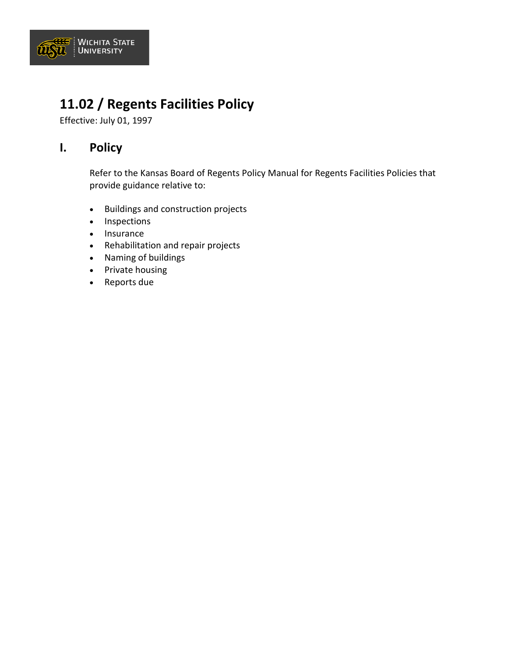

## **11.02 / Regents Facilities Policy**

Effective: July 01, 1997

#### **I. Policy**

Refer to the Kansas Board of Regents Policy Manual for Regents Facilities Policies that provide guidance relative to:

- Buildings and construction projects
- Inspections
- Insurance
- Rehabilitation and repair projects
- Naming of buildings
- Private housing
- Reports due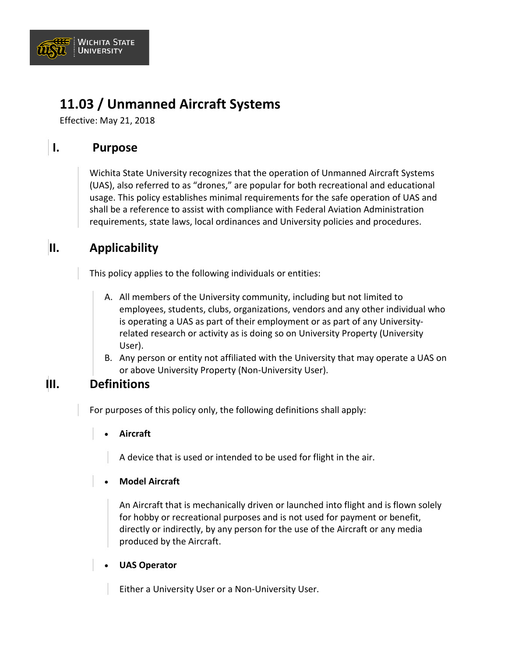

## **11.03 / Unmanned Aircraft Systems**

Effective: May 21, 2018

### **I. Purpose**

Wichita State University recognizes that the operation of Unmanned Aircraft Systems (UAS), also referred to as "drones," are popular for both recreational and educational usage. This policy establishes minimal requirements for the safe operation of UAS and shall be a reference to assist with compliance with Federal Aviation Administration requirements, state laws, local ordinances and University policies and procedures.

### **II. Applicability**

This policy applies to the following individuals or entities:

- A. All members of the University community, including but not limited to employees, students, clubs, organizations, vendors and any other individual who is operating a UAS as part of their employment or as part of any Universityrelated research or activity as is doing so on University Property (University User).
- B. Any person or entity not affiliated with the University that may operate a UAS on or above University Property (Non-University User).

#### **III. Definitions**

For purposes of this policy only, the following definitions shall apply:

• **Aircraft**

A device that is used or intended to be used for flight in the air.

#### • **Model Aircraft**

An Aircraft that is mechanically driven or launched into flight and is flown solely for hobby or recreational purposes and is not used for payment or benefit, directly or indirectly, by any person for the use of the Aircraft or any media produced by the Aircraft.

#### • **UAS Operator**

Either a University User or a Non-University User.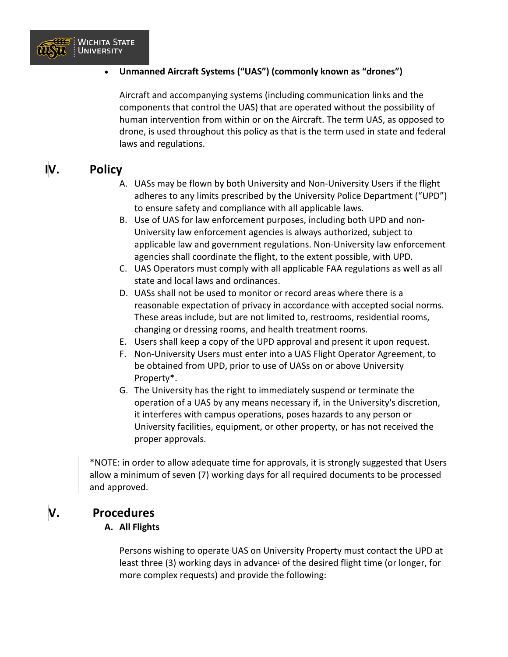

#### • **Unmanned Aircraft Systems ("UAS") (commonly known as "drones")**

Aircraft and accompanying systems (including communication links and the components that control the UAS) that are operated without the possibility of human intervention from within or on the Aircraft. The term UAS, as opposed to drone, is used throughout this policy as that is the term used in state and federal laws and regulations.

### **IV. Policy**

- A. UASs may be flown by both University and Non-University Users if the flight adheres to any limits prescribed by the University Police Department ("UPD") to ensure safety and compliance with all applicable laws.
- B. Use of UAS for law enforcement purposes, including both UPD and non-University law enforcement agencies is always authorized, subject to applicable law and government regulations. Non-University law enforcement agencies shall coordinate the flight, to the extent possible, with UPD.
- C. UAS Operators must comply with all applicable FAA regulations as well as all state and local laws and ordinances.
- D. UASs shall not be used to monitor or record areas where there is a reasonable expectation of privacy in accordance with accepted social norms. These areas include, but are not limited to, restrooms, residential rooms, changing or dressing rooms, and health treatment rooms.
- E. Users shall keep a copy of the UPD approval and present it upon request.
- F. Non-University Users must enter into a UAS Flight Operator Agreement, to be obtained from UPD, prior to use of UASs on or above University Property\*.
- G. The University has the right to immediately suspend or terminate the operation of a UAS by any means necessary if, in the University's discretion, it interferes with campus operations, poses hazards to any person or University facilities, equipment, or other property, or has not received the proper approvals.

\*NOTE: in order to allow adequate time for approvals, it is strongly suggested that Users allow a minimum of seven (7) working days for all required documents to be processed and approved.

#### **V. Procedures**

#### **A. All Flights**

Persons wishing to operate UAS on University Property must contact the UPD at least three  $(3)$  working days in advance<sup>1</sup> of the desired flight time (or longer, for more complex requests) and provide the following: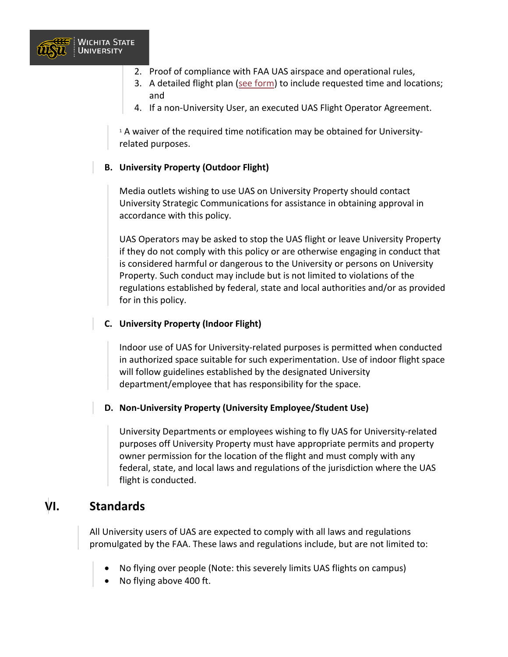

- 2. Proof of compliance with FAA UAS airspace and operational rules,
- 3. A detailed flight plan [\(see form\)](https://wichitastate.co1.qualtrics.com/SE/?SID=SV_8bKC5GaU98W8krr&Q_JFE=0) to include requested time and locations; and
- 4. If a non-University User, an executed UAS Flight Operator Agreement.

<sup>1</sup> A waiver of the required time notification may be obtained for Universityrelated purposes.

#### **B. University Property (Outdoor Flight)**

Media outlets wishing to use UAS on University Property should contact University Strategic Communications for assistance in obtaining approval in accordance with this policy.

UAS Operators may be asked to stop the UAS flight or leave University Property if they do not comply with this policy or are otherwise engaging in conduct that is considered harmful or dangerous to the University or persons on University Property. Such conduct may include but is not limited to violations of the regulations established by federal, state and local authorities and/or as provided for in this policy.

#### **C. University Property (Indoor Flight)**

Indoor use of UAS for University-related purposes is permitted when conducted in authorized space suitable for such experimentation. Use of indoor flight space will follow guidelines established by the designated University department/employee that has responsibility for the space.

#### **D. Non-University Property (University Employee/Student Use)**

University Departments or employees wishing to fly UAS for University-related purposes off University Property must have appropriate permits and property owner permission for the location of the flight and must comply with any federal, state, and local laws and regulations of the jurisdiction where the UAS flight is conducted.

#### **VI. Standards**

All University users of UAS are expected to comply with all laws and regulations promulgated by the FAA. These laws and regulations include, but are not limited to:

- No flying over people (Note: this severely limits UAS flights on campus)
- No flying above 400 ft.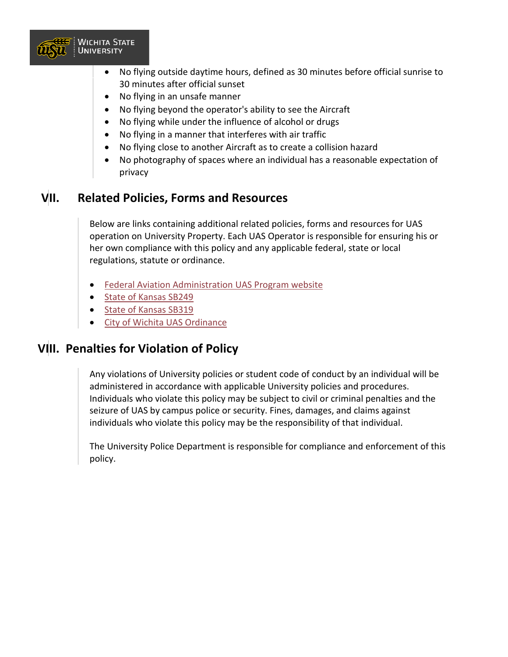

- No flying outside daytime hours, defined as 30 minutes before official sunrise to 30 minutes after official sunset
- No flying in an unsafe manner
- No flying beyond the operator's ability to see the Aircraft
- No flying while under the influence of alcohol or drugs
- No flying in a manner that interferes with air traffic
- No flying close to another Aircraft as to create a collision hazard
- No photography of spaces where an individual has a reasonable expectation of privacy

### **VII. Related Policies, Forms and Resources**

Below are links containing additional related policies, forms and resources for UAS operation on University Property. Each UAS Operator is responsible for ensuring his or her own compliance with this policy and any applicable federal, state or local regulations, statute or ordinance.

- [Federal Aviation Administration UAS Program website](https://www.faa.gov/uas/)
- [State of Kansas SB249](http://www.kslegislature.org/li_2016/b2015_16/measures/documents/sb249_enrolled.pdf)
- [State of Kansas SB319](http://www.kslegislature.org/li_2016/b2015_16/measures/documents/sb319_enrolled.pdf)
- [City of Wichita UAS Ordinance](http://uavs.insct.org/wp-content/uploads/2016/04/Wichita-KS-Code-of-Ordinances-9.35.210.pdf)

#### **VIII. Penalties for Violation of Policy**

Any violations of University policies or student code of conduct by an individual will be administered in accordance with applicable University policies and procedures. Individuals who violate this policy may be subject to civil or criminal penalties and the seizure of UAS by campus police or security. Fines, damages, and claims against individuals who violate this policy may be the responsibility of that individual.

The University Police Department is responsible for compliance and enforcement of this policy.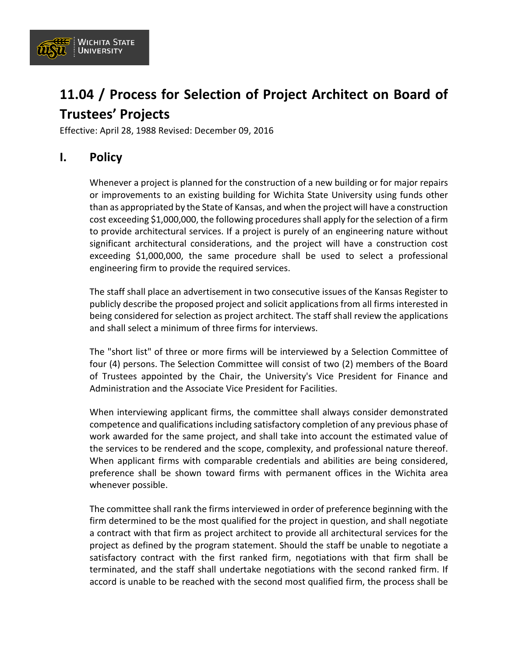

## **11.04 / Process for Selection of Project Architect on Board of Trustees' Projects**

Effective: April 28, 1988 Revised: December 09, 2016

#### **I. Policy**

Whenever a project is planned for the construction of a new building or for major repairs or improvements to an existing building for Wichita State University using funds other than as appropriated by the State of Kansas, and when the project will have a construction cost exceeding \$1,000,000, the following procedures shall apply for the selection of a firm to provide architectural services. If a project is purely of an engineering nature without significant architectural considerations, and the project will have a construction cost exceeding \$1,000,000, the same procedure shall be used to select a professional engineering firm to provide the required services.

The staff shall place an advertisement in two consecutive issues of the Kansas Register to publicly describe the proposed project and solicit applications from all firms interested in being considered for selection as project architect. The staff shall review the applications and shall select a minimum of three firms for interviews.

The "short list" of three or more firms will be interviewed by a Selection Committee of four (4) persons. The Selection Committee will consist of two (2) members of the Board of Trustees appointed by the Chair, the University's Vice President for Finance and Administration and the Associate Vice President for Facilities.

When interviewing applicant firms, the committee shall always consider demonstrated competence and qualifications including satisfactory completion of any previous phase of work awarded for the same project, and shall take into account the estimated value of the services to be rendered and the scope, complexity, and professional nature thereof. When applicant firms with comparable credentials and abilities are being considered, preference shall be shown toward firms with permanent offices in the Wichita area whenever possible.

The committee shall rank the firms interviewed in order of preference beginning with the firm determined to be the most qualified for the project in question, and shall negotiate a contract with that firm as project architect to provide all architectural services for the project as defined by the program statement. Should the staff be unable to negotiate a satisfactory contract with the first ranked firm, negotiations with that firm shall be terminated, and the staff shall undertake negotiations with the second ranked firm. If accord is unable to be reached with the second most qualified firm, the process shall be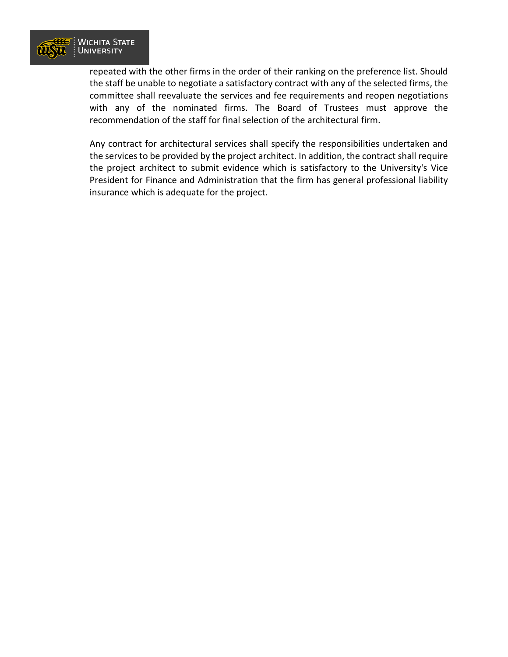

repeated with the other firms in the order of their ranking on the preference list. Should the staff be unable to negotiate a satisfactory contract with any of the selected firms, the committee shall reevaluate the services and fee requirements and reopen negotiations with any of the nominated firms. The Board of Trustees must approve the recommendation of the staff for final selection of the architectural firm.

Any contract for architectural services shall specify the responsibilities undertaken and the services to be provided by the project architect. In addition, the contract shall require the project architect to submit evidence which is satisfactory to the University's Vice President for Finance and Administration that the firm has general professional liability insurance which is adequate for the project.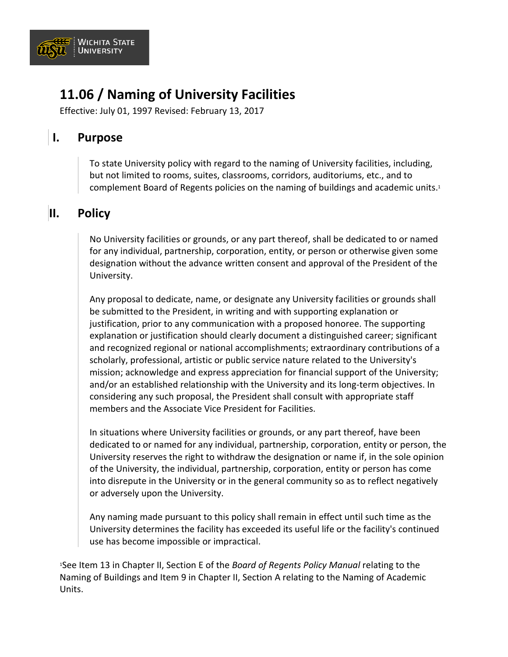

## **11.06 / Naming of University Facilities**

Effective: July 01, 1997 Revised: February 13, 2017

### **I. Purpose**

To state University policy with regard to the naming of University facilities, including, but not limited to rooms, suites, classrooms, corridors, auditoriums, etc., and to complement Board of Regents policies on the naming of buildings and academic units.1

### **II. Policy**

No University facilities or grounds, or any part thereof, shall be dedicated to or named for any individual, partnership, corporation, entity, or person or otherwise given some designation without the advance written consent and approval of the President of the University.

Any proposal to dedicate, name, or designate any University facilities or grounds shall be submitted to the President, in writing and with supporting explanation or justification, prior to any communication with a proposed honoree. The supporting explanation or justification should clearly document a distinguished career; significant and recognized regional or national accomplishments; extraordinary contributions of a scholarly, professional, artistic or public service nature related to the University's mission; acknowledge and express appreciation for financial support of the University; and/or an established relationship with the University and its long-term objectives. In considering any such proposal, the President shall consult with appropriate staff members and the Associate Vice President for Facilities.

In situations where University facilities or grounds, or any part thereof, have been dedicated to or named for any individual, partnership, corporation, entity or person, the University reserves the right to withdraw the designation or name if, in the sole opinion of the University, the individual, partnership, corporation, entity or person has come into disrepute in the University or in the general community so as to reflect negatively or adversely upon the University.

Any naming made pursuant to this policy shall remain in effect until such time as the University determines the facility has exceeded its useful life or the facility's continued use has become impossible or impractical.

1See Item 13 in Chapter II, Section E of the *Board of Regents Policy Manual* relating to the Naming of Buildings and Item 9 in Chapter II, Section A relating to the Naming of Academic Units.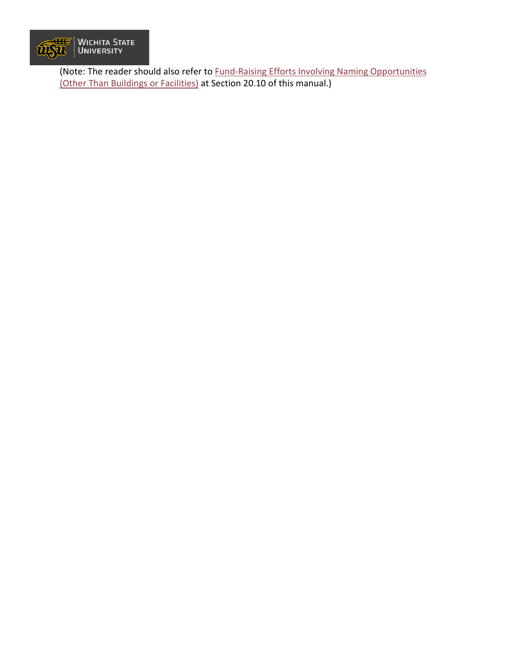

(Note: The reader should also refer to [Fund-Raising Efforts Involving Naming Opportunities](https://www.wichita.edu/about/policy/ch_20/ch20_10.php)  [\(Other Than Buildings or Facilities\)](https://www.wichita.edu/about/policy/ch_20/ch20_10.php) at Section 20.10 of this manual.)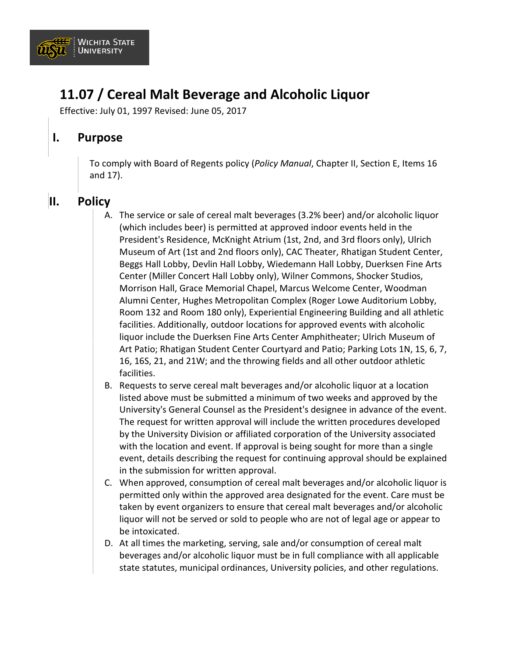

## **11.07 / Cereal Malt Beverage and Alcoholic Liquor**

Effective: July 01, 1997 Revised: June 05, 2017

#### **I. Purpose**

To comply with Board of Regents policy (*Policy Manual*, Chapter II, Section E, Items 16 and 17).

### **II. Policy**

- A. The service or sale of cereal malt beverages (3.2% beer) and/or alcoholic liquor (which includes beer) is permitted at approved indoor events held in the President's Residence, McKnight Atrium (1st, 2nd, and 3rd floors only), Ulrich Museum of Art (1st and 2nd floors only), CAC Theater, Rhatigan Student Center, Beggs Hall Lobby, Devlin Hall Lobby, Wiedemann Hall Lobby, Duerksen Fine Arts Center (Miller Concert Hall Lobby only), Wilner Commons, Shocker Studios, Morrison Hall, Grace Memorial Chapel, Marcus Welcome Center, Woodman Alumni Center, Hughes Metropolitan Complex (Roger Lowe Auditorium Lobby, Room 132 and Room 180 only), Experiential Engineering Building and all athletic facilities. Additionally, outdoor locations for approved events with alcoholic liquor include the Duerksen Fine Arts Center Amphitheater; Ulrich Museum of Art Patio; Rhatigan Student Center Courtyard and Patio; Parking Lots 1N, 1S, 6, 7, 16, 16S, 21, and 21W; and the throwing fields and all other outdoor athletic facilities.
- B. Requests to serve cereal malt beverages and/or alcoholic liquor at a location listed above must be submitted a minimum of two weeks and approved by the University's General Counsel as the President's designee in advance of the event. The request for written approval will include the written procedures developed by the University Division or affiliated corporation of the University associated with the location and event. If approval is being sought for more than a single event, details describing the request for continuing approval should be explained in the submission for written approval.
- C. When approved, consumption of cereal malt beverages and/or alcoholic liquor is permitted only within the approved area designated for the event. Care must be taken by event organizers to ensure that cereal malt beverages and/or alcoholic liquor will not be served or sold to people who are not of legal age or appear to be intoxicated.
- D. At all times the marketing, serving, sale and/or consumption of cereal malt beverages and/or alcoholic liquor must be in full compliance with all applicable state statutes, municipal ordinances, University policies, and other regulations.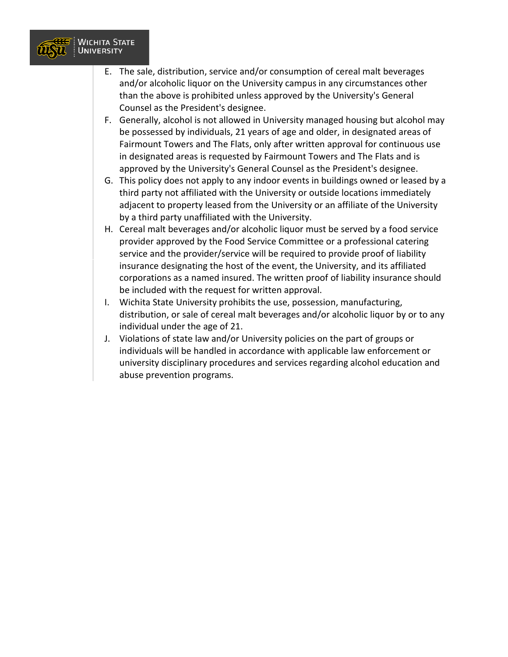

- E. The sale, distribution, service and/or consumption of cereal malt beverages and/or alcoholic liquor on the University campus in any circumstances other than the above is prohibited unless approved by the University's General Counsel as the President's designee.
- F. Generally, alcohol is not allowed in University managed housing but alcohol may be possessed by individuals, 21 years of age and older, in designated areas of Fairmount Towers and The Flats, only after written approval for continuous use in designated areas is requested by Fairmount Towers and The Flats and is approved by the University's General Counsel as the President's designee.
- G. This policy does not apply to any indoor events in buildings owned or leased by a third party not affiliated with the University or outside locations immediately adjacent to property leased from the University or an affiliate of the University by a third party unaffiliated with the University.
- H. Cereal malt beverages and/or alcoholic liquor must be served by a food service provider approved by the Food Service Committee or a professional catering service and the provider/service will be required to provide proof of liability insurance designating the host of the event, the University, and its affiliated corporations as a named insured. The written proof of liability insurance should be included with the request for written approval.
- I. Wichita State University prohibits the use, possession, manufacturing, distribution, or sale of cereal malt beverages and/or alcoholic liquor by or to any individual under the age of 21.
- J. Violations of state law and/or University policies on the part of groups or individuals will be handled in accordance with applicable law enforcement or university disciplinary procedures and services regarding alcohol education and abuse prevention programs.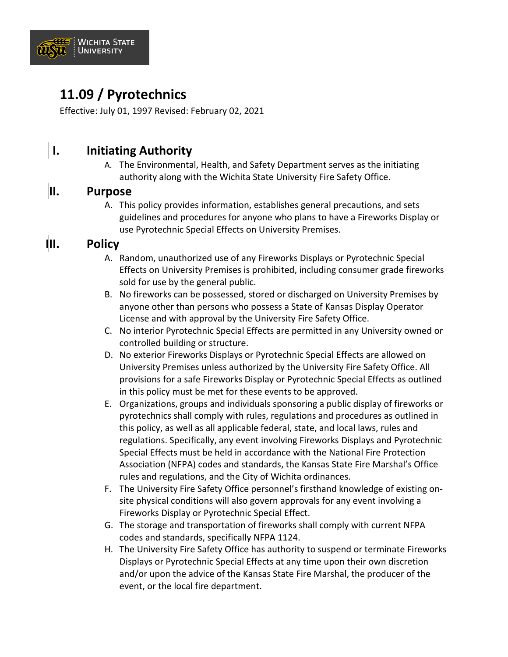

## **11.09 / Pyrotechnics**

Effective: July 01, 1997 Revised: February 02, 2021

### **I. Initiating Authority**

A. The Environmental, Health, and Safety Department serves as the initiating authority along with the Wichita State University Fire Safety Office.

#### **II. Purpose**

A. This policy provides information, establishes general precautions, and sets guidelines and procedures for anyone who plans to have a Fireworks Display or use Pyrotechnic Special Effects on University Premises.

### **III. Policy**

- A. Random, unauthorized use of any Fireworks Displays or Pyrotechnic Special Effects on University Premises is prohibited, including consumer grade fireworks sold for use by the general public.
- B. No fireworks can be possessed, stored or discharged on University Premises by anyone other than persons who possess a State of Kansas Display Operator License and with approval by the University Fire Safety Office.
- C. No interior Pyrotechnic Special Effects are permitted in any University owned or controlled building or structure.
- D. No exterior Fireworks Displays or Pyrotechnic Special Effects are allowed on University Premises unless authorized by the University Fire Safety Office. All provisions for a safe Fireworks Display or Pyrotechnic Special Effects as outlined in this policy must be met for these events to be approved.
- E. Organizations, groups and individuals sponsoring a public display of fireworks or pyrotechnics shall comply with rules, regulations and procedures as outlined in this policy, as well as all applicable federal, state, and local laws, rules and regulations. Specifically, any event involving Fireworks Displays and Pyrotechnic Special Effects must be held in accordance with the National Fire Protection Association (NFPA) codes and standards, the Kansas State Fire Marshal's Office rules and regulations, and the City of Wichita ordinances.
- F. The University Fire Safety Office personnel's firsthand knowledge of existing onsite physical conditions will also govern approvals for any event involving a Fireworks Display or Pyrotechnic Special Effect.
- G. The storage and transportation of fireworks shall comply with current NFPA codes and standards, specifically NFPA 1124.
- H. The University Fire Safety Office has authority to suspend or terminate Fireworks Displays or Pyrotechnic Special Effects at any time upon their own discretion and/or upon the advice of the Kansas State Fire Marshal, the producer of the event, or the local fire department.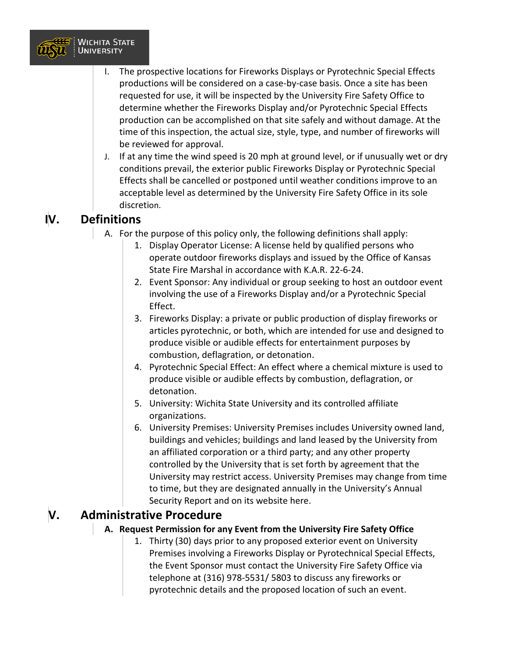

- I. The prospective locations for Fireworks Displays or Pyrotechnic Special Effects productions will be considered on a case-by-case basis. Once a site has been requested for use, it will be inspected by the University Fire Safety Office to determine whether the Fireworks Display and/or Pyrotechnic Special Effects production can be accomplished on that site safely and without damage. At the time of this inspection, the actual size, style, type, and number of fireworks will be reviewed for approval.
- J. If at any time the wind speed is 20 mph at ground level, or if unusually wet or dry conditions prevail, the exterior public Fireworks Display or Pyrotechnic Special Effects shall be cancelled or postponed until weather conditions improve to an acceptable level as determined by the University Fire Safety Office in its sole discretion.

### **IV. Definitions**

- A. For the purpose of this policy only, the following definitions shall apply:
	- 1. Display Operator License: A license held by qualified persons who operate outdoor fireworks displays and issued by the Office of Kansas State Fire Marshal in accordance with K.A.R. 22-6-24.
	- 2. Event Sponsor: Any individual or group seeking to host an outdoor event involving the use of a Fireworks Display and/or a Pyrotechnic Special Effect.
	- 3. Fireworks Display: a private or public production of display fireworks or articles pyrotechnic, or both, which are intended for use and designed to produce visible or audible effects for entertainment purposes by combustion, deflagration, or detonation.
	- 4. Pyrotechnic Special Effect: An effect where a chemical mixture is used to produce visible or audible effects by combustion, deflagration, or detonation.
	- 5. University: Wichita State University and its controlled affiliate organizations.
	- 6. University Premises: University Premises includes University owned land, buildings and vehicles; buildings and land leased by the University from an affiliated corporation or a third party; and any other property controlled by the University that is set forth by agreement that the University may restrict access. University Premises may change from time to time, but they are designated annually in the University's Annual Security Report and on its website here.

### **V. Administrative Procedure**

#### **A. Request Permission for any Event from the University Fire Safety Office**

1. Thirty (30) days prior to any proposed exterior event on University Premises involving a Fireworks Display or Pyrotechnical Special Effects, the Event Sponsor must contact the University Fire Safety Office via telephone at (316) 978-5531/ 5803 to discuss any fireworks or pyrotechnic details and the proposed location of such an event.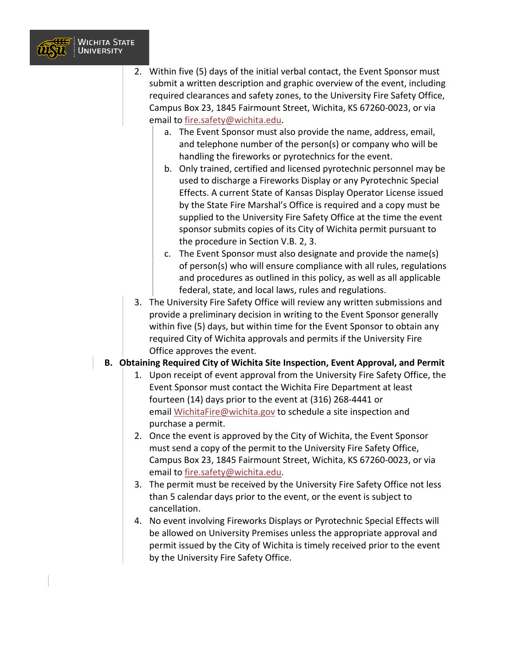

- 2. Within five (5) days of the initial verbal contact, the Event Sponsor must submit a written description and graphic overview of the event, including required clearances and safety zones, to the University Fire Safety Office, Campus Box 23, 1845 Fairmount Street, Wichita, KS 67260-0023, or via email to [fire.safety@wichita.edu.](mailto:fire.safety@wichita.edu?subject=)
	- a. The Event Sponsor must also provide the name, address, email, and telephone number of the person(s) or company who will be handling the fireworks or pyrotechnics for the event.
	- b. Only trained, certified and licensed pyrotechnic personnel may be used to discharge a Fireworks Display or any Pyrotechnic Special Effects. A current State of Kansas Display Operator License issued by the State Fire Marshal's Office is required and a copy must be supplied to the University Fire Safety Office at the time the event sponsor submits copies of its City of Wichita permit pursuant to the procedure in Section V.B. 2, 3.
	- c. The Event Sponsor must also designate and provide the name(s) of person(s) who will ensure compliance with all rules, regulations and procedures as outlined in this policy, as well as all applicable federal, state, and local laws, rules and regulations.
- 3. The University Fire Safety Office will review any written submissions and provide a preliminary decision in writing to the Event Sponsor generally within five (5) days, but within time for the Event Sponsor to obtain any required City of Wichita approvals and permits if the University Fire Office approves the event.

#### **B. Obtaining Required City of Wichita Site Inspection, Event Approval, and Permit**

- 1. Upon receipt of event approval from the University Fire Safety Office, the Event Sponsor must contact the Wichita Fire Department at least fourteen (14) days prior to the event at (316) 268-4441 or email [WichitaFire@wichita.gov](mailto:WichitaFire@wichita.gov?subject=) to schedule a site inspection and purchase a permit.
- 2. Once the event is approved by the City of Wichita, the Event Sponsor must send a copy of the permit to the University Fire Safety Office, Campus Box 23, 1845 Fairmount Street, Wichita, KS 67260-0023, or via email to [fire.safety@wichita.edu.](mailto:fire.safety@wichita.edu?subject=)
- 3. The permit must be received by the University Fire Safety Office not less than 5 calendar days prior to the event, or the event is subject to cancellation.
- 4. No event involving Fireworks Displays or Pyrotechnic Special Effects will be allowed on University Premises unless the appropriate approval and permit issued by the City of Wichita is timely received prior to the event by the University Fire Safety Office.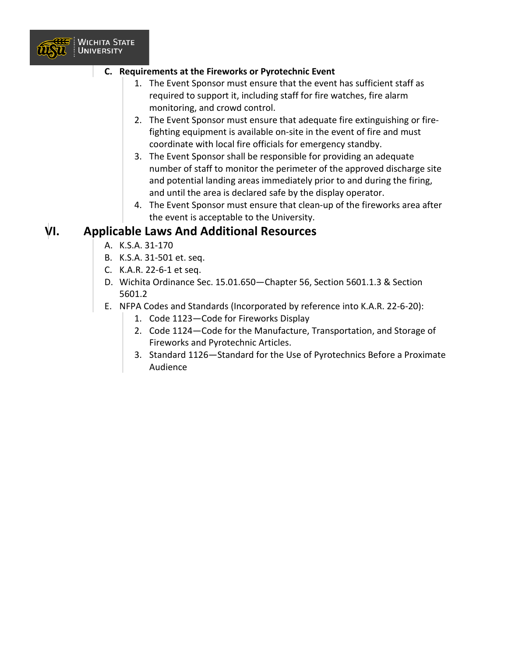

#### **C. Requirements at the Fireworks or Pyrotechnic Event**

- 1. The Event Sponsor must ensure that the event has sufficient staff as required to support it, including staff for fire watches, fire alarm monitoring, and crowd control.
- 2. The Event Sponsor must ensure that adequate fire extinguishing or firefighting equipment is available on-site in the event of fire and must coordinate with local fire officials for emergency standby.
- 3. The Event Sponsor shall be responsible for providing an adequate number of staff to monitor the perimeter of the approved discharge site and potential landing areas immediately prior to and during the firing, and until the area is declared safe by the display operator.
- 4. The Event Sponsor must ensure that clean-up of the fireworks area after the event is acceptable to the University.

#### **VI. Applicable Laws And Additional Resources**

- A. K.S.A. 31-170
- B. K.S.A. 31-501 et. seq.
- C. K.A.R. 22-6-1 et seq.
- D. Wichita Ordinance Sec. 15.01.650—Chapter 56, Section 5601.1.3 & Section 5601.2
- E. NFPA Codes and Standards (Incorporated by reference into K.A.R. 22-6-20):
	- 1. Code 1123—Code for Fireworks Display
	- 2. Code 1124—Code for the Manufacture, Transportation, and Storage of Fireworks and Pyrotechnic Articles.
	- 3. Standard 1126—Standard for the Use of Pyrotechnics Before a Proximate Audience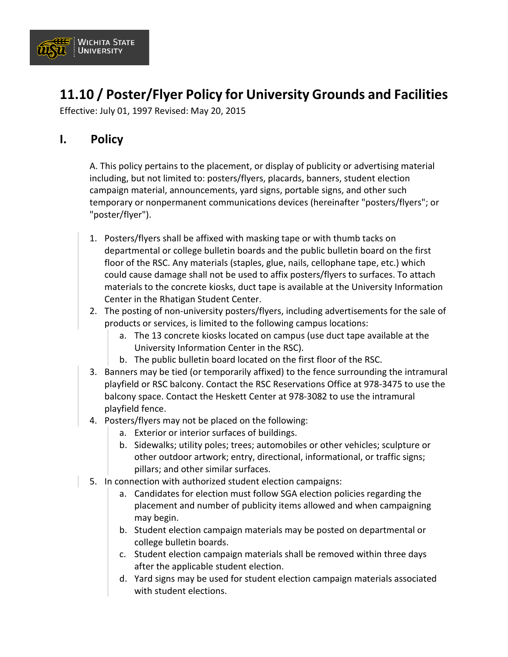

## **11.10 / Poster/Flyer Policy for University Grounds and Facilities**

Effective: July 01, 1997 Revised: May 20, 2015

### **I. Policy**

A. This policy pertains to the placement, or display of publicity or advertising material including, but not limited to: posters/flyers, placards, banners, student election campaign material, announcements, yard signs, portable signs, and other such temporary or nonpermanent communications devices (hereinafter "posters/flyers"; or "poster/flyer").

- 1. Posters/flyers shall be affixed with masking tape or with thumb tacks on departmental or college bulletin boards and the public bulletin board on the first floor of the RSC. Any materials (staples, glue, nails, cellophane tape, etc.) which could cause damage shall not be used to affix posters/flyers to surfaces. To attach materials to the concrete kiosks, duct tape is available at the University Information Center in the Rhatigan Student Center.
- 2. The posting of non-university posters/flyers, including advertisements for the sale of products or services, is limited to the following campus locations:
	- a. The 13 concrete kiosks located on campus (use duct tape available at the University Information Center in the RSC).
	- b. The public bulletin board located on the first floor of the RSC.
- 3. Banners may be tied (or temporarily affixed) to the fence surrounding the intramural playfield or RSC balcony. Contact the RSC Reservations Office at 978-3475 to use the balcony space. Contact the Heskett Center at 978-3082 to use the intramural playfield fence.
- 4. Posters/flyers may not be placed on the following:
	- a. Exterior or interior surfaces of buildings.
	- b. Sidewalks; utility poles; trees; automobiles or other vehicles; sculpture or other outdoor artwork; entry, directional, informational, or traffic signs; pillars; and other similar surfaces.
- 5. In connection with authorized student election campaigns:
	- a. Candidates for election must follow SGA election policies regarding the placement and number of publicity items allowed and when campaigning may begin.
	- b. Student election campaign materials may be posted on departmental or college bulletin boards.
	- c. Student election campaign materials shall be removed within three days after the applicable student election.
	- d. Yard signs may be used for student election campaign materials associated with student elections.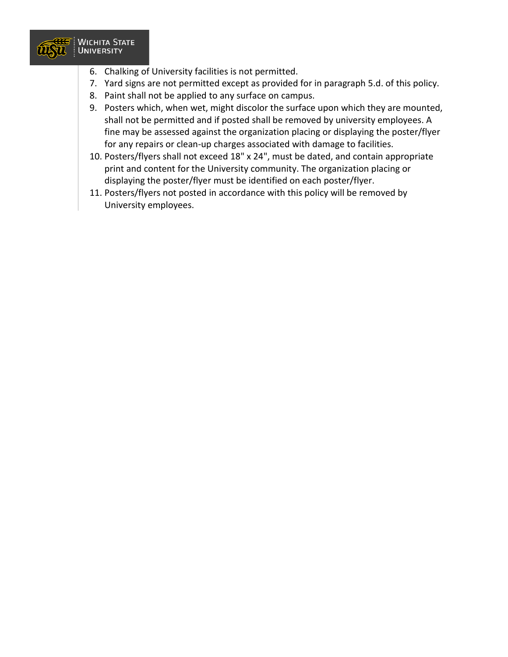

- 6. Chalking of University facilities is not permitted.
- 7. Yard signs are not permitted except as provided for in paragraph 5.d. of this policy.
- 8. Paint shall not be applied to any surface on campus.
- 9. Posters which, when wet, might discolor the surface upon which they are mounted, shall not be permitted and if posted shall be removed by university employees. A fine may be assessed against the organization placing or displaying the poster/flyer for any repairs or clean-up charges associated with damage to facilities.
- 10. Posters/flyers shall not exceed 18" x 24", must be dated, and contain appropriate print and content for the University community. The organization placing or displaying the poster/flyer must be identified on each poster/flyer.
- 11. Posters/flyers not posted in accordance with this policy will be removed by University employees.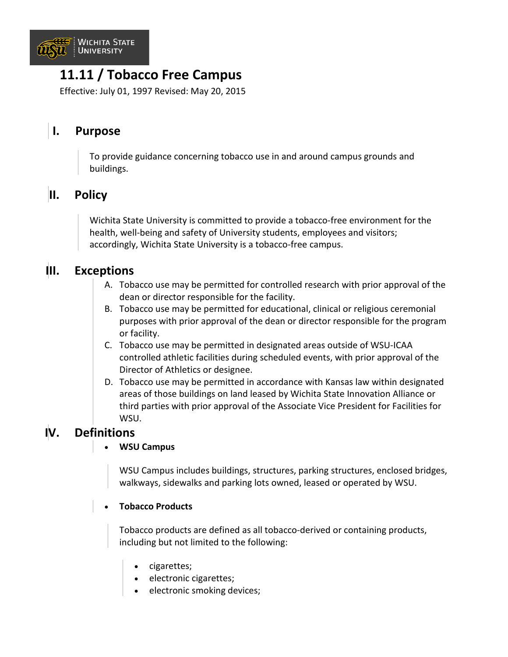

## **11.11 / Tobacco Free Campus**

Effective: July 01, 1997 Revised: May 20, 2015

### **I. Purpose**

To provide guidance concerning tobacco use in and around campus grounds and buildings.

### **II. Policy**

Wichita State University is committed to provide a tobacco-free environment for the health, well-being and safety of University students, employees and visitors; accordingly, Wichita State University is a tobacco-free campus.

#### **III. Exceptions**

- A. Tobacco use may be permitted for controlled research with prior approval of the dean or director responsible for the facility.
- B. Tobacco use may be permitted for educational, clinical or religious ceremonial purposes with prior approval of the dean or director responsible for the program or facility.
- C. Tobacco use may be permitted in designated areas outside of WSU-ICAA controlled athletic facilities during scheduled events, with prior approval of the Director of Athletics or designee.
- D. Tobacco use may be permitted in accordance with Kansas law within designated areas of those buildings on land leased by Wichita State Innovation Alliance or third parties with prior approval of the Associate Vice President for Facilities for WSU.

### **IV. Definitions**

#### • **WSU Campus**

WSU Campus includes buildings, structures, parking structures, enclosed bridges, walkways, sidewalks and parking lots owned, leased or operated by WSU.

#### • **Tobacco Products**

Tobacco products are defined as all tobacco-derived or containing products, including but not limited to the following:

- cigarettes;
- electronic cigarettes;
- electronic smoking devices;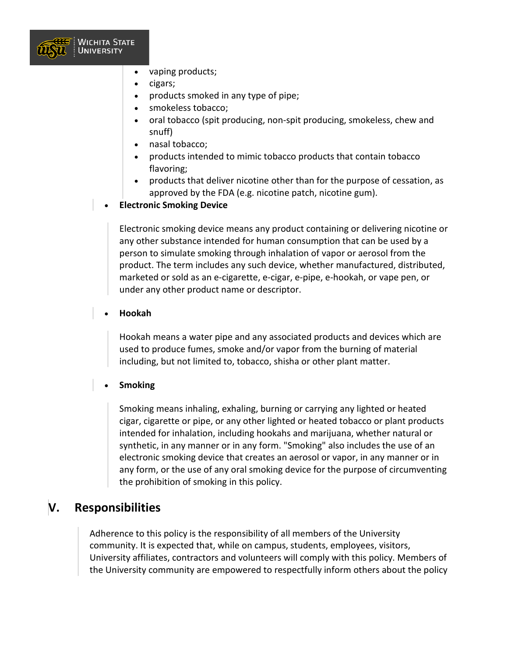

- vaping products;
- cigars;
- products smoked in any type of pipe;
- smokeless tobacco;
- oral tobacco (spit producing, non-spit producing, smokeless, chew and snuff)
- nasal tobacco;
- products intended to mimic tobacco products that contain tobacco flavoring;
- products that deliver nicotine other than for the purpose of cessation, as approved by the FDA (e.g. nicotine patch, nicotine gum).
- **Electronic Smoking Device**

Electronic smoking device means any product containing or delivering nicotine or any other substance intended for human consumption that can be used by a person to simulate smoking through inhalation of vapor or aerosol from the product. The term includes any such device, whether manufactured, distributed, marketed or sold as an e-cigarette, e-cigar, e-pipe, e-hookah, or vape pen, or under any other product name or descriptor.

#### • **Hookah**

Hookah means a water pipe and any associated products and devices which are used to produce fumes, smoke and/or vapor from the burning of material including, but not limited to, tobacco, shisha or other plant matter.

#### • **Smoking**

Smoking means inhaling, exhaling, burning or carrying any lighted or heated cigar, cigarette or pipe, or any other lighted or heated tobacco or plant products intended for inhalation, including hookahs and marijuana, whether natural or synthetic, in any manner or in any form. "Smoking" also includes the use of an electronic smoking device that creates an aerosol or vapor, in any manner or in any form, or the use of any oral smoking device for the purpose of circumventing the prohibition of smoking in this policy.

#### **V. Responsibilities**

Adherence to this policy is the responsibility of all members of the University community. It is expected that, while on campus, students, employees, visitors, University affiliates, contractors and volunteers will comply with this policy. Members of the University community are empowered to respectfully inform others about the policy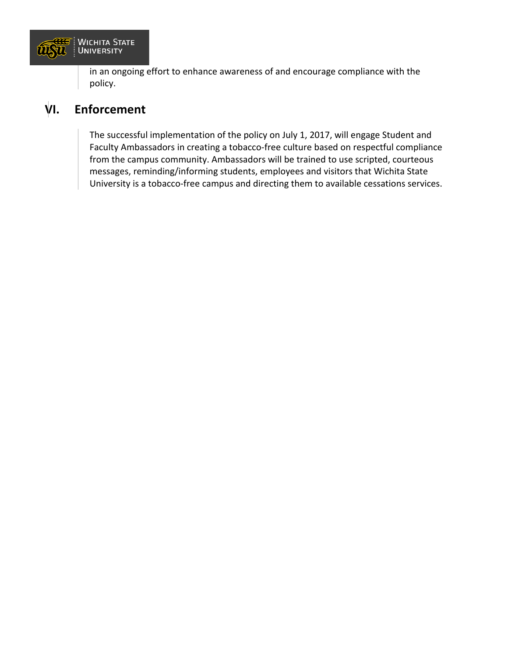

in an ongoing effort to enhance awareness of and encourage compliance with the policy.

### **VI. Enforcement**

The successful implementation of the policy on July 1, 2017, will engage Student and Faculty Ambassadors in creating a tobacco-free culture based on respectful compliance from the campus community. Ambassadors will be trained to use scripted, courteous messages, reminding/informing students, employees and visitors that Wichita State University is a tobacco-free campus and directing them to available cessations services.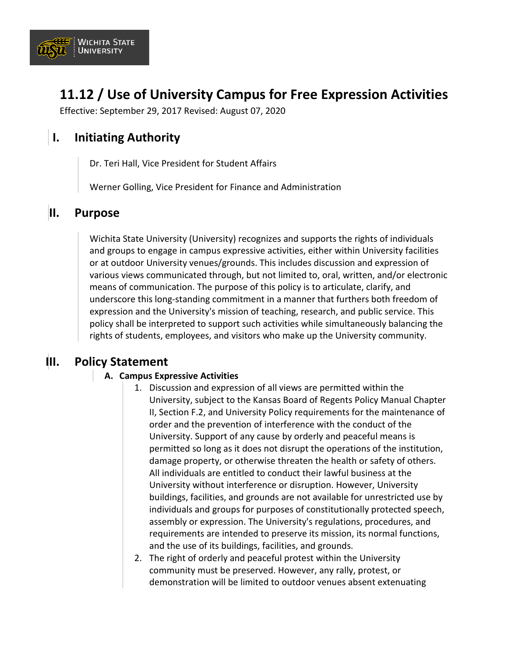

## **11.12 / Use of University Campus for Free Expression Activities**

Effective: September 29, 2017 Revised: August 07, 2020

### **I. Initiating Authority**

Dr. Teri Hall, Vice President for Student Affairs

Werner Golling, Vice President for Finance and Administration

#### **II. Purpose**

Wichita State University (University) recognizes and supports the rights of individuals and groups to engage in campus expressive activities, either within University facilities or at outdoor University venues/grounds. This includes discussion and expression of various views communicated through, but not limited to, oral, written, and/or electronic means of communication. The purpose of this policy is to articulate, clarify, and underscore this long-standing commitment in a manner that furthers both freedom of expression and the University's mission of teaching, research, and public service. This policy shall be interpreted to support such activities while simultaneously balancing the rights of students, employees, and visitors who make up the University community.

#### **III. Policy Statement**

#### **A. Campus Expressive Activities**

- 1. Discussion and expression of all views are permitted within the University, subject to the Kansas Board of Regents Policy Manual Chapter II, Section F.2, and University Policy requirements for the maintenance of order and the prevention of interference with the conduct of the University. Support of any cause by orderly and peaceful means is permitted so long as it does not disrupt the operations of the institution, damage property, or otherwise threaten the health or safety of others. All individuals are entitled to conduct their lawful business at the University without interference or disruption. However, University buildings, facilities, and grounds are not available for unrestricted use by individuals and groups for purposes of constitutionally protected speech, assembly or expression. The University's regulations, procedures, and requirements are intended to preserve its mission, its normal functions, and the use of its buildings, facilities, and grounds.
- 2. The right of orderly and peaceful protest within the University community must be preserved. However, any rally, protest, or demonstration will be limited to outdoor venues absent extenuating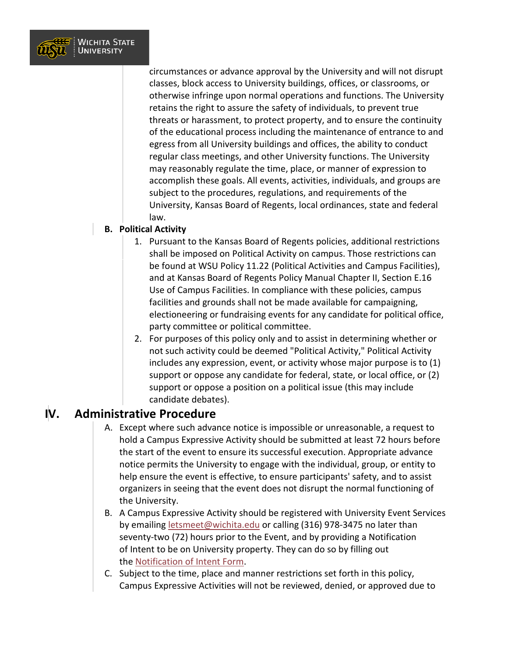

circumstances or advance approval by the University and will not disrupt classes, block access to University buildings, offices, or classrooms, or otherwise infringe upon normal operations and functions. The University retains the right to assure the safety of individuals, to prevent true threats or harassment, to protect property, and to ensure the continuity of the educational process including the maintenance of entrance to and egress from all University buildings and offices, the ability to conduct regular class meetings, and other University functions. The University may reasonably regulate the time, place, or manner of expression to accomplish these goals. All events, activities, individuals, and groups are subject to the procedures, regulations, and requirements of the University, Kansas Board of Regents, local ordinances, state and federal law.

#### **B. Political Activity**

- 1. Pursuant to the Kansas Board of Regents policies, additional restrictions shall be imposed on Political Activity on campus. Those restrictions can be found at WSU Policy 11.22 (Political Activities and Campus Facilities), and at Kansas Board of Regents Policy Manual Chapter II, Section E.16 Use of Campus Facilities. In compliance with these policies, campus facilities and grounds shall not be made available for campaigning, electioneering or fundraising events for any candidate for political office, party committee or political committee.
- 2. For purposes of this policy only and to assist in determining whether or not such activity could be deemed "Political Activity," Political Activity includes any expression, event, or activity whose major purpose is to (1) support or oppose any candidate for federal, state, or local office, or (2) support or oppose a position on a political issue (this may include candidate debates).

#### **IV. Administrative Procedure**

- A. Except where such advance notice is impossible or unreasonable, a request to hold a Campus Expressive Activity should be submitted at least 72 hours before the start of the event to ensure its successful execution. Appropriate advance notice permits the University to engage with the individual, group, or entity to help ensure the event is effective, to ensure participants' safety, and to assist organizers in seeing that the event does not disrupt the normal functioning of the University.
- B. A Campus Expressive Activity should be registered with University Event Services by emailing [letsmeet@wichita.edu](mailto:mailto:letsmeet@wichita.edu?subject=) or calling (316) 978-3475 no later than seventy-two (72) hours prior to the Event, and by providing a Notification of Intent to be on University property. They can do so by filling out the [Notification of Intent Form.](https://www.wichita.edu/services/rsc/eventservices/documents/Notification_of_Intent_Form_fillable_PDF.pdf)
- C. Subject to the time, place and manner restrictions set forth in this policy, Campus Expressive Activities will not be reviewed, denied, or approved due to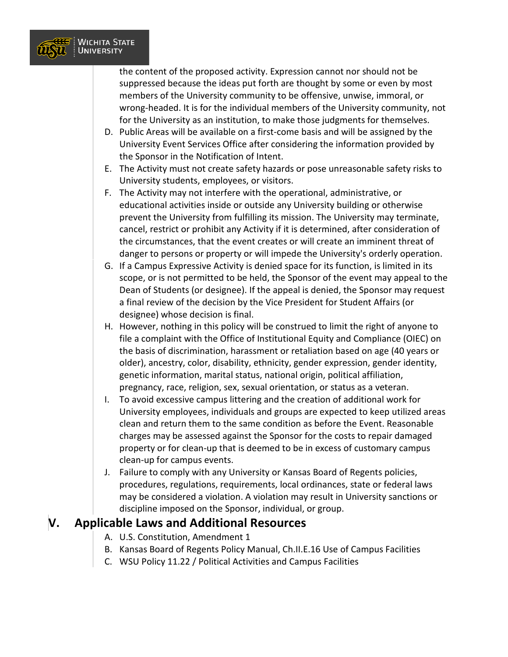

the content of the proposed activity. Expression cannot nor should not be suppressed because the ideas put forth are thought by some or even by most members of the University community to be offensive, unwise, immoral, or wrong-headed. It is for the individual members of the University community, not for the University as an institution, to make those judgments for themselves.

- D. Public Areas will be available on a first-come basis and will be assigned by the University Event Services Office after considering the information provided by the Sponsor in the Notification of Intent.
- E. The Activity must not create safety hazards or pose unreasonable safety risks to University students, employees, or visitors.
- F. The Activity may not interfere with the operational, administrative, or educational activities inside or outside any University building or otherwise prevent the University from fulfilling its mission. The University may terminate, cancel, restrict or prohibit any Activity if it is determined, after consideration of the circumstances, that the event creates or will create an imminent threat of danger to persons or property or will impede the University's orderly operation.
- G. If a Campus Expressive Activity is denied space for its function, is limited in its scope, or is not permitted to be held, the Sponsor of the event may appeal to the Dean of Students (or designee). If the appeal is denied, the Sponsor may request a final review of the decision by the Vice President for Student Affairs (or designee) whose decision is final.
- H. However, nothing in this policy will be construed to limit the right of anyone to file a complaint with the Office of Institutional Equity and Compliance (OIEC) on the basis of discrimination, harassment or retaliation based on age (40 years or older), ancestry, color, disability, ethnicity, gender expression, gender identity, genetic information, marital status, national origin, political affiliation, pregnancy, race, religion, sex, sexual orientation, or status as a veteran.
- I. To avoid excessive campus littering and the creation of additional work for University employees, individuals and groups are expected to keep utilized areas clean and return them to the same condition as before the Event. Reasonable charges may be assessed against the Sponsor for the costs to repair damaged property or for clean-up that is deemed to be in excess of customary campus clean-up for campus events.
- J. Failure to comply with any University or Kansas Board of Regents policies, procedures, regulations, requirements, local ordinances, state or federal laws may be considered a violation. A violation may result in University sanctions or discipline imposed on the Sponsor, individual, or group.

#### **V. Applicable Laws and Additional Resources**

- A. U.S. Constitution, Amendment 1
- B. Kansas Board of Regents Policy Manual, Ch.II.E.16 Use of Campus Facilities
- C. WSU Policy 11.22 / Political Activities and Campus Facilities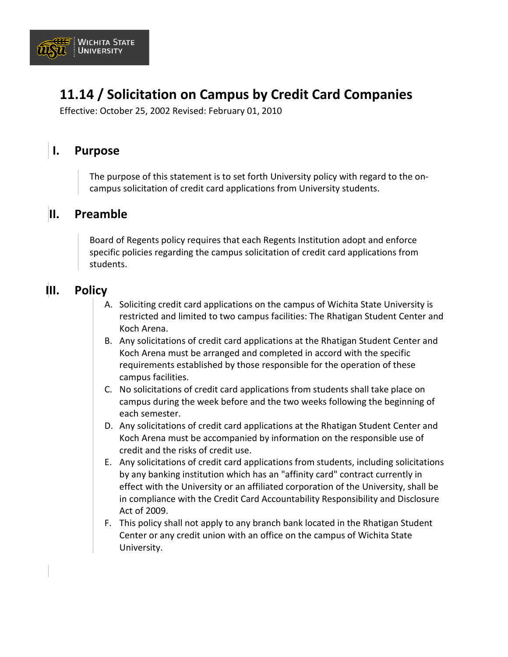

## **11.14 / Solicitation on Campus by Credit Card Companies**

Effective: October 25, 2002 Revised: February 01, 2010

### **I. Purpose**

The purpose of this statement is to set forth University policy with regard to the oncampus solicitation of credit card applications from University students.

#### **II. Preamble**

Board of Regents policy requires that each Regents Institution adopt and enforce specific policies regarding the campus solicitation of credit card applications from students.

#### **III. Policy**

- A. Soliciting credit card applications on the campus of Wichita State University is restricted and limited to two campus facilities: The Rhatigan Student Center and Koch Arena.
- B. Any solicitations of credit card applications at the Rhatigan Student Center and Koch Arena must be arranged and completed in accord with the specific requirements established by those responsible for the operation of these campus facilities.
- C. No solicitations of credit card applications from students shall take place on campus during the week before and the two weeks following the beginning of each semester.
- D. Any solicitations of credit card applications at the Rhatigan Student Center and Koch Arena must be accompanied by information on the responsible use of credit and the risks of credit use.
- E. Any solicitations of credit card applications from students, including solicitations by any banking institution which has an "affinity card" contract currently in effect with the University or an affiliated corporation of the University, shall be in compliance with the Credit Card Accountability Responsibility and Disclosure Act of 2009.
- F. This policy shall not apply to any branch bank located in the Rhatigan Student Center or any credit union with an office on the campus of Wichita State University.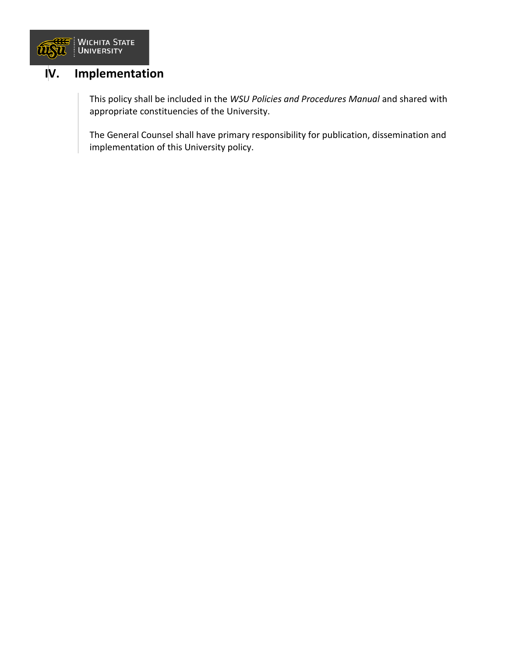

### **IV. Implementation**

This policy shall be included in the *WSU Policies and Procedures Manual* and shared with appropriate constituencies of the University.

The General Counsel shall have primary responsibility for publication, dissemination and implementation of this University policy.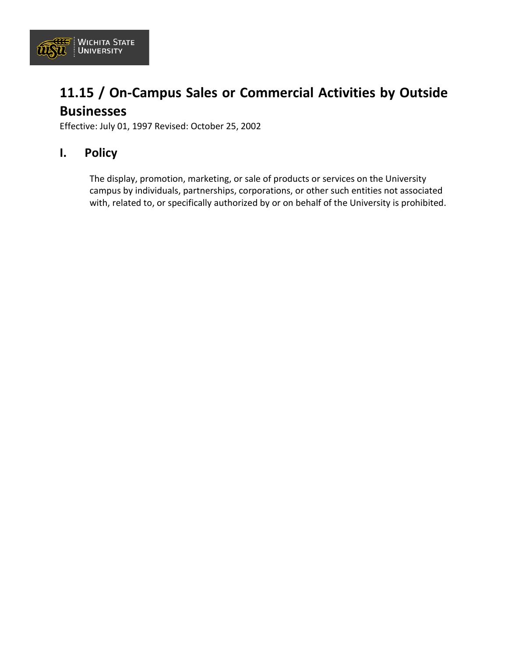

## **11.15 / On-Campus Sales or Commercial Activities by Outside Businesses**

Effective: July 01, 1997 Revised: October 25, 2002

#### **I. Policy**

The display, promotion, marketing, or sale of products or services on the University campus by individuals, partnerships, corporations, or other such entities not associated with, related to, or specifically authorized by or on behalf of the University is prohibited.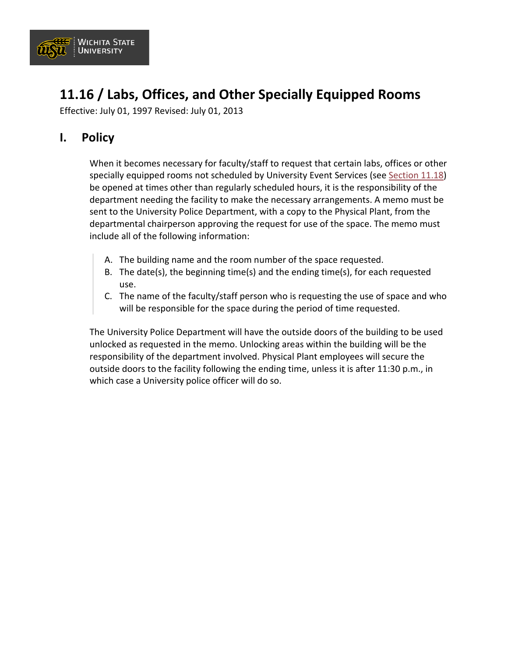

## **11.16 / Labs, Offices, and Other Specially Equipped Rooms**

Effective: July 01, 1997 Revised: July 01, 2013

### **I. Policy**

When it becomes necessary for faculty/staff to request that certain labs, offices or other specially equipped rooms not scheduled by University Event Services (see [Section 11.18\)](https://www.wichita.edu/about/policy/ch11/ch11_18.php) be opened at times other than regularly scheduled hours, it is the responsibility of the department needing the facility to make the necessary arrangements. A memo must be sent to the University Police Department, with a copy to the Physical Plant, from the departmental chairperson approving the request for use of the space. The memo must include all of the following information:

- A. The building name and the room number of the space requested.
- B. The date(s), the beginning time(s) and the ending time(s), for each requested use.
- C. The name of the faculty/staff person who is requesting the use of space and who will be responsible for the space during the period of time requested.

The University Police Department will have the outside doors of the building to be used unlocked as requested in the memo. Unlocking areas within the building will be the responsibility of the department involved. Physical Plant employees will secure the outside doors to the facility following the ending time, unless it is after 11:30 p.m., in which case a University police officer will do so.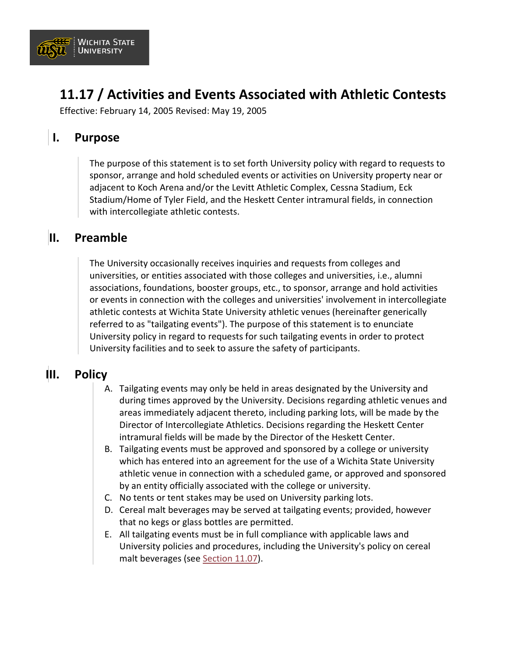

## **11.17 / Activities and Events Associated with Athletic Contests**

Effective: February 14, 2005 Revised: May 19, 2005

### **I. Purpose**

The purpose of this statement is to set forth University policy with regard to requests to sponsor, arrange and hold scheduled events or activities on University property near or adjacent to Koch Arena and/or the Levitt Athletic Complex, Cessna Stadium, Eck Stadium/Home of Tyler Field, and the Heskett Center intramural fields, in connection with intercollegiate athletic contests.

### **II. Preamble**

The University occasionally receives inquiries and requests from colleges and universities, or entities associated with those colleges and universities, i.e., alumni associations, foundations, booster groups, etc., to sponsor, arrange and hold activities or events in connection with the colleges and universities' involvement in intercollegiate athletic contests at Wichita State University athletic venues (hereinafter generically referred to as "tailgating events"). The purpose of this statement is to enunciate University policy in regard to requests for such tailgating events in order to protect University facilities and to seek to assure the safety of participants.

### **III. Policy**

- A. Tailgating events may only be held in areas designated by the University and during times approved by the University. Decisions regarding athletic venues and areas immediately adjacent thereto, including parking lots, will be made by the Director of Intercollegiate Athletics. Decisions regarding the Heskett Center intramural fields will be made by the Director of the Heskett Center.
- B. Tailgating events must be approved and sponsored by a college or university which has entered into an agreement for the use of a Wichita State University athletic venue in connection with a scheduled game, or approved and sponsored by an entity officially associated with the college or university.
- C. No tents or tent stakes may be used on University parking lots.
- D. Cereal malt beverages may be served at tailgating events; provided, however that no kegs or glass bottles are permitted.
- E. All tailgating events must be in full compliance with applicable laws and University policies and procedures, including the University's policy on cereal malt beverages (see [Section 11.07\)](https://www.wichita.edu/about/policy/ch11/ch11_07.php).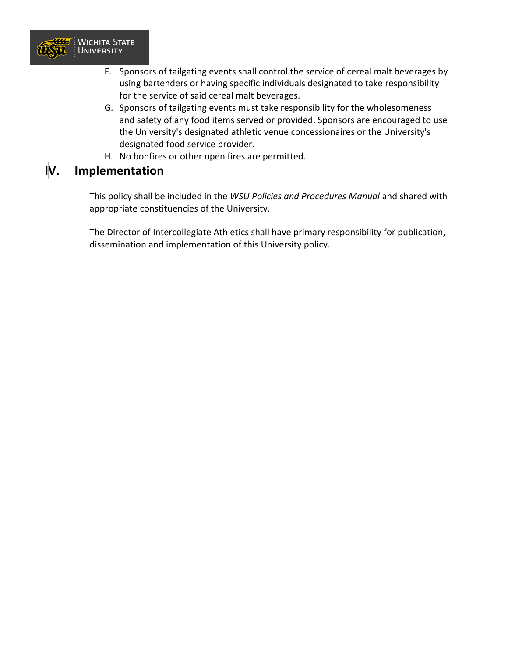

- F. Sponsors of tailgating events shall control the service of cereal malt beverages by using bartenders or having specific individuals designated to take responsibility for the service of said cereal malt beverages.
- G. Sponsors of tailgating events must take responsibility for the wholesomeness and safety of any food items served or provided. Sponsors are encouraged to use the University's designated athletic venue concessionaires or the University's designated food service provider.
- H. No bonfires or other open fires are permitted.

### **IV. Implementation**

This policy shall be included in the *WSU Policies and Procedures Manual* and shared with appropriate constituencies of the University.

The Director of Intercollegiate Athletics shall have primary responsibility for publication, dissemination and implementation of this University policy.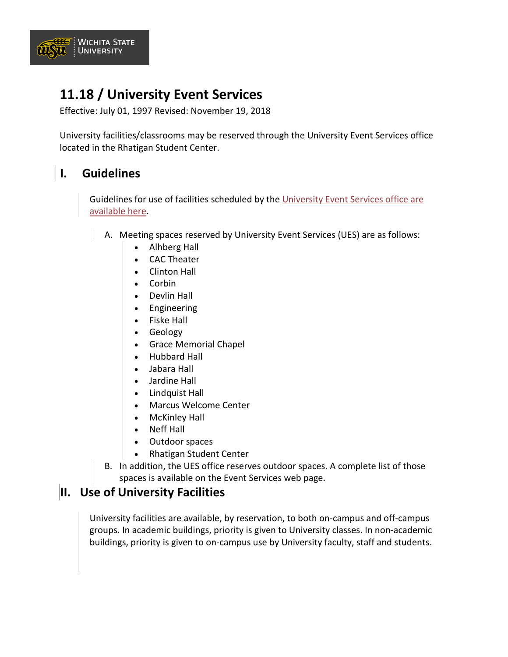

## **11.18 / University Event Services**

Effective: July 01, 1997 Revised: November 19, 2018

University facilities/classrooms may be reserved through the University Event Services office located in the Rhatigan Student Center.

### **I. Guidelines**

Guidelines for use of facilities scheduled by the [University Event Services office are](https://www.wichita.edu/services/rsc/eventservices/)  [available here.](https://www.wichita.edu/services/rsc/eventservices/)

- A. Meeting spaces reserved by University Event Services (UES) are as follows:
	- Alhberg Hall
	- CAC Theater
	- Clinton Hall
	- Corbin
	- Devlin Hall
	- Engineering
	- Fiske Hall
	- Geology
	- Grace Memorial Chapel
	- Hubbard Hall
	- Jabara Hall
	- Jardine Hall
	- Lindquist Hall
	- Marcus Welcome Center
	- McKinley Hall
	- Neff Hall
	- Outdoor spaces
	- Rhatigan Student Center
	- B. In addition, the UES office reserves outdoor spaces. A complete list of those spaces is available on the Event Services web page.

#### **II. Use of University Facilities**

University facilities are available, by reservation, to both on-campus and off-campus groups. In academic buildings, priority is given to University classes. In non-academic buildings, priority is given to on-campus use by University faculty, staff and students.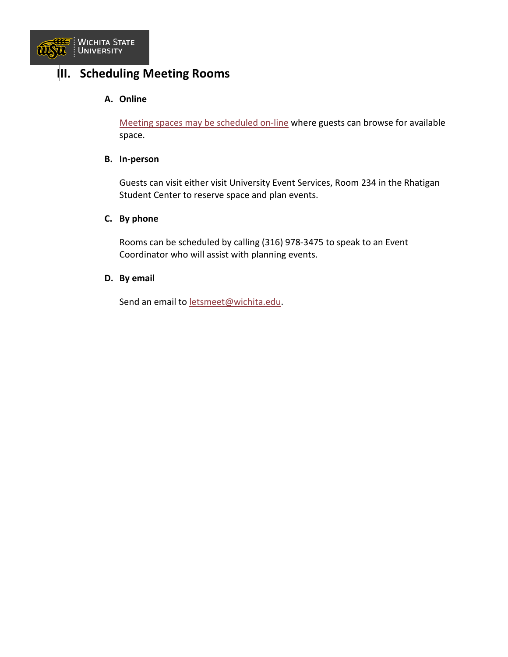

### **III. Scheduling Meeting Rooms**

#### **A. Online**

[Meeting spaces may be scheduled on-line](http://ems.wichita.edu/EmsWebApp/Default.aspx) where guests can browse for available space.

#### **B. In-person**

Guests can visit either visit University Event Services, Room 234 in the Rhatigan Student Center to reserve space and plan events.

#### **C. By phone**

Rooms can be scheduled by calling (316) 978-3475 to speak to an Event Coordinator who will assist with planning events.

#### **D. By email**

Send an email to [letsmeet@wichita.edu.](mailto:letsmeet@wichita.edu)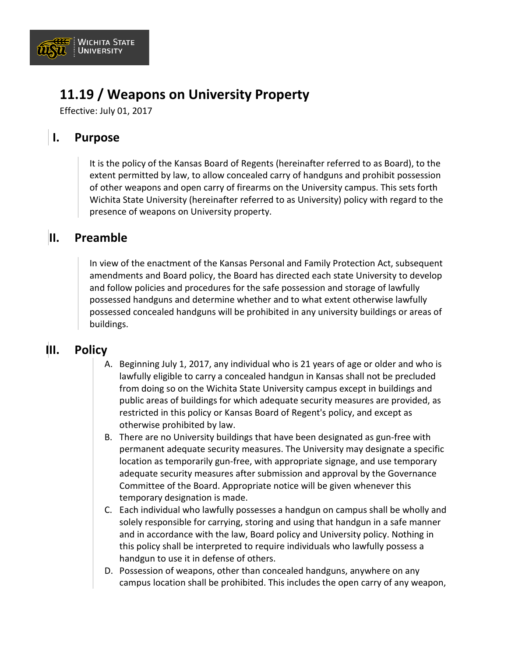

## **11.19 / Weapons on University Property**

Effective: July 01, 2017

### **I. Purpose**

It is the policy of the Kansas Board of Regents (hereinafter referred to as Board), to the extent permitted by law, to allow concealed carry of handguns and prohibit possession of other weapons and open carry of firearms on the University campus. This sets forth Wichita State University (hereinafter referred to as University) policy with regard to the presence of weapons on University property.

### **II. Preamble**

In view of the enactment of the Kansas Personal and Family Protection Act, subsequent amendments and Board policy, the Board has directed each state University to develop and follow policies and procedures for the safe possession and storage of lawfully possessed handguns and determine whether and to what extent otherwise lawfully possessed concealed handguns will be prohibited in any university buildings or areas of buildings.

#### **III. Policy**

- A. Beginning July 1, 2017, any individual who is 21 years of age or older and who is lawfully eligible to carry a concealed handgun in Kansas shall not be precluded from doing so on the Wichita State University campus except in buildings and public areas of buildings for which adequate security measures are provided, as restricted in this policy or Kansas Board of Regent's policy, and except as otherwise prohibited by law.
- B. There are no University buildings that have been designated as gun-free with permanent adequate security measures. The University may designate a specific location as temporarily gun-free, with appropriate signage, and use temporary adequate security measures after submission and approval by the Governance Committee of the Board. Appropriate notice will be given whenever this temporary designation is made.
- C. Each individual who lawfully possesses a handgun on campus shall be wholly and solely responsible for carrying, storing and using that handgun in a safe manner and in accordance with the law, Board policy and University policy. Nothing in this policy shall be interpreted to require individuals who lawfully possess a handgun to use it in defense of others.
- D. Possession of weapons, other than concealed handguns, anywhere on any campus location shall be prohibited. This includes the open carry of any weapon,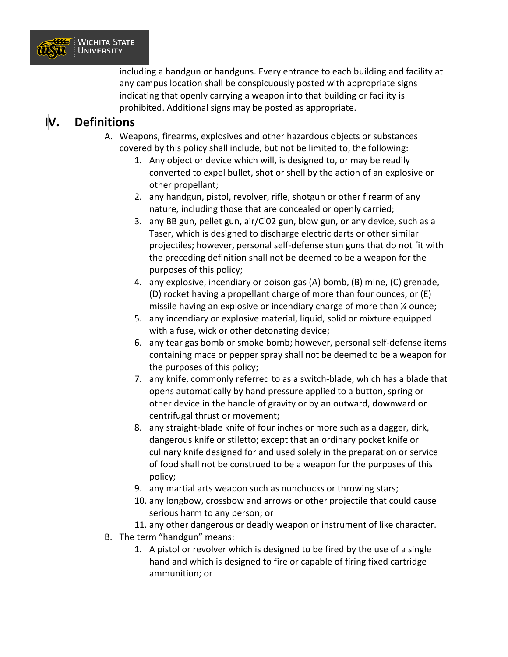

including a handgun or handguns. Every entrance to each building and facility at any campus location shall be conspicuously posted with appropriate signs indicating that openly carrying a weapon into that building or facility is prohibited. Additional signs may be posted as appropriate.

### **IV. Definitions**

- A. Weapons, firearms, explosives and other hazardous objects or substances covered by this policy shall include, but not be limited to, the following:
	- 1. Any object or device which will, is designed to, or may be readily converted to expel bullet, shot or shell by the action of an explosive or other propellant;
	- 2. any handgun, pistol, revolver, rifle, shotgun or other firearm of any nature, including those that are concealed or openly carried;
	- 3. any BB gun, pellet gun, air/C'02 gun, blow gun, or any device, such as a Taser, which is designed to discharge electric darts or other similar projectiles; however, personal self-defense stun guns that do not fit with the preceding definition shall not be deemed to be a weapon for the purposes of this policy;
	- 4. any explosive, incendiary or poison gas (A) bomb, (B) mine, (C) grenade, (D) rocket having a propellant charge of more than four ounces, or (E) missile having an explosive or incendiary charge of more than ¼ ounce;
	- 5. any incendiary or explosive material, liquid, solid or mixture equipped with a fuse, wick or other detonating device;
	- 6. any tear gas bomb or smoke bomb; however, personal self-defense items containing mace or pepper spray shall not be deemed to be a weapon for the purposes of this policy;
	- 7. any knife, commonly referred to as a switch-blade, which has a blade that opens automatically by hand pressure applied to a button, spring or other device in the handle of gravity or by an outward, downward or centrifugal thrust or movement;
	- 8. any straight-blade knife of four inches or more such as a dagger, dirk, dangerous knife or stiletto; except that an ordinary pocket knife or culinary knife designed for and used solely in the preparation or service of food shall not be construed to be a weapon for the purposes of this policy;
	- 9. any martial arts weapon such as nunchucks or throwing stars;
	- 10. any longbow, crossbow and arrows or other projectile that could cause serious harm to any person; or
	- 11. any other dangerous or deadly weapon or instrument of like character.
- B. The term "handgun" means:
	- 1. A pistol or revolver which is designed to be fired by the use of a single hand and which is designed to fire or capable of firing fixed cartridge ammunition; or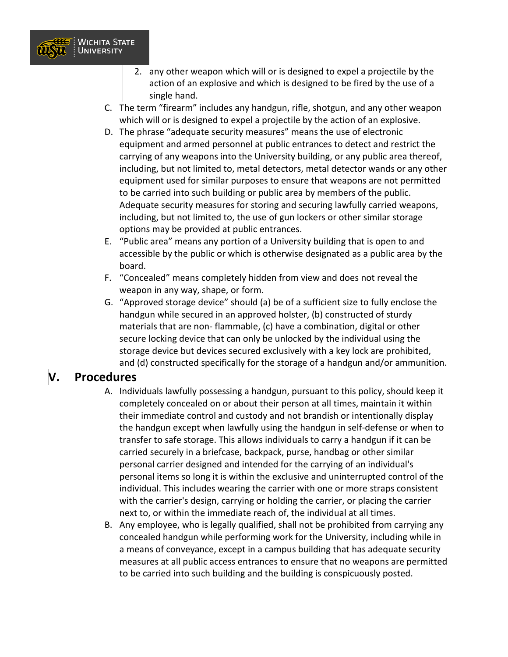

- 2. any other weapon which will or is designed to expel a projectile by the action of an explosive and which is designed to be fired by the use of a single hand.
- C. The term "firearm" includes any handgun, rifle, shotgun, and any other weapon which will or is designed to expel a projectile by the action of an explosive.
- D. The phrase "adequate security measures" means the use of electronic equipment and armed personnel at public entrances to detect and restrict the carrying of any weapons into the University building, or any public area thereof, including, but not limited to, metal detectors, metal detector wands or any other equipment used for similar purposes to ensure that weapons are not permitted to be carried into such building or public area by members of the public. Adequate security measures for storing and securing lawfully carried weapons, including, but not limited to, the use of gun lockers or other similar storage options may be provided at public entrances.
- E. "Public area" means any portion of a University building that is open to and accessible by the public or which is otherwise designated as a public area by the board.
- F. "Concealed" means completely hidden from view and does not reveal the weapon in any way, shape, or form.
- G. "Approved storage device" should (a) be of a sufficient size to fully enclose the handgun while secured in an approved holster, (b) constructed of sturdy materials that are non- flammable, (c) have a combination, digital or other secure locking device that can only be unlocked by the individual using the storage device but devices secured exclusively with a key lock are prohibited, and (d) constructed specifically for the storage of a handgun and/or ammunition.

#### **V. Procedures**

- A. Individuals lawfully possessing a handgun, pursuant to this policy, should keep it completely concealed on or about their person at all times, maintain it within their immediate control and custody and not brandish or intentionally display the handgun except when lawfully using the handgun in self-defense or when to transfer to safe storage. This allows individuals to carry a handgun if it can be carried securely in a briefcase, backpack, purse, handbag or other similar personal carrier designed and intended for the carrying of an individual's personal items so long it is within the exclusive and uninterrupted control of the individual. This includes wearing the carrier with one or more straps consistent with the carrier's design, carrying or holding the carrier, or placing the carrier next to, or within the immediate reach of, the individual at all times.
- B. Any employee, who is legally qualified, shall not be prohibited from carrying any concealed handgun while performing work for the University, including while in a means of conveyance, except in a campus building that has adequate security measures at all public access entrances to ensure that no weapons are permitted to be carried into such building and the building is conspicuously posted.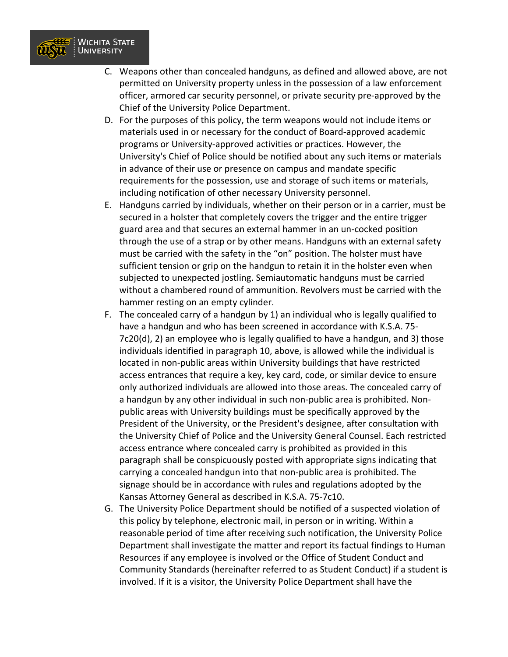

- C. Weapons other than concealed handguns, as defined and allowed above, are not permitted on University property unless in the possession of a law enforcement officer, armored car security personnel, or private security pre-approved by the Chief of the University Police Department.
- D. For the purposes of this policy, the term weapons would not include items or materials used in or necessary for the conduct of Board-approved academic programs or University-approved activities or practices. However, the University's Chief of Police should be notified about any such items or materials in advance of their use or presence on campus and mandate specific requirements for the possession, use and storage of such items or materials, including notification of other necessary University personnel.
- E. Handguns carried by individuals, whether on their person or in a carrier, must be secured in a holster that completely covers the trigger and the entire trigger guard area and that secures an external hammer in an un-cocked position through the use of a strap or by other means. Handguns with an external safety must be carried with the safety in the "on" position. The holster must have sufficient tension or grip on the handgun to retain it in the holster even when subjected to unexpected jostling. Semiautomatic handguns must be carried without a chambered round of ammunition. Revolvers must be carried with the hammer resting on an empty cylinder.
- F. The concealed carry of a handgun by 1) an individual who is legally qualified to have a handgun and who has been screened in accordance with K.S.A. 75- 7c20(d), 2) an employee who is legally qualified to have a handgun, and 3) those individuals identified in paragraph 10, above, is allowed while the individual is located in non-public areas within University buildings that have restricted access entrances that require a key, key card, code, or similar device to ensure only authorized individuals are allowed into those areas. The concealed carry of a handgun by any other individual in such non-public area is prohibited. Nonpublic areas with University buildings must be specifically approved by the President of the University, or the President's designee, after consultation with the University Chief of Police and the University General Counsel. Each restricted access entrance where concealed carry is prohibited as provided in this paragraph shall be conspicuously posted with appropriate signs indicating that carrying a concealed handgun into that non-public area is prohibited. The signage should be in accordance with rules and regulations adopted by the Kansas Attorney General as described in K.S.A. 75-7c10.
- G. The University Police Department should be notified of a suspected violation of this policy by telephone, electronic mail, in person or in writing. Within a reasonable period of time after receiving such notification, the University Police Department shall investigate the matter and report its factual findings to Human Resources if any employee is involved or the Office of Student Conduct and Community Standards (hereinafter referred to as Student Conduct) if a student is involved. If it is a visitor, the University Police Department shall have the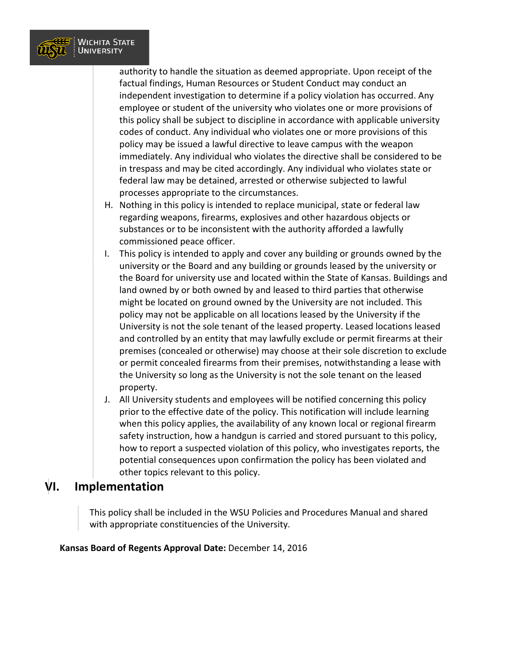

authority to handle the situation as deemed appropriate. Upon receipt of the factual findings, Human Resources or Student Conduct may conduct an independent investigation to determine if a policy violation has occurred. Any employee or student of the university who violates one or more provisions of this policy shall be subject to discipline in accordance with applicable university codes of conduct. Any individual who violates one or more provisions of this policy may be issued a lawful directive to leave campus with the weapon immediately. Any individual who violates the directive shall be considered to be in trespass and may be cited accordingly. Any individual who violates state or federal law may be detained, arrested or otherwise subjected to lawful processes appropriate to the circumstances.

- H. Nothing in this policy is intended to replace municipal, state or federal law regarding weapons, firearms, explosives and other hazardous objects or substances or to be inconsistent with the authority afforded a lawfully commissioned peace officer.
- I. This policy is intended to apply and cover any building or grounds owned by the university or the Board and any building or grounds leased by the university or the Board for university use and located within the State of Kansas. Buildings and land owned by or both owned by and leased to third parties that otherwise might be located on ground owned by the University are not included. This policy may not be applicable on all locations leased by the University if the University is not the sole tenant of the leased property. Leased locations leased and controlled by an entity that may lawfully exclude or permit firearms at their premises (concealed or otherwise) may choose at their sole discretion to exclude or permit concealed firearms from their premises, notwithstanding a lease with the University so long as the University is not the sole tenant on the leased property.
- J. All University students and employees will be notified concerning this policy prior to the effective date of the policy. This notification will include learning when this policy applies, the availability of any known local or regional firearm safety instruction, how a handgun is carried and stored pursuant to this policy, how to report a suspected violation of this policy, who investigates reports, the potential consequences upon confirmation the policy has been violated and other topics relevant to this policy.

#### **VI. Implementation**

This policy shall be included in the WSU Policies and Procedures Manual and shared with appropriate constituencies of the University.

#### **Kansas Board of Regents Approval Date:** December 14, 2016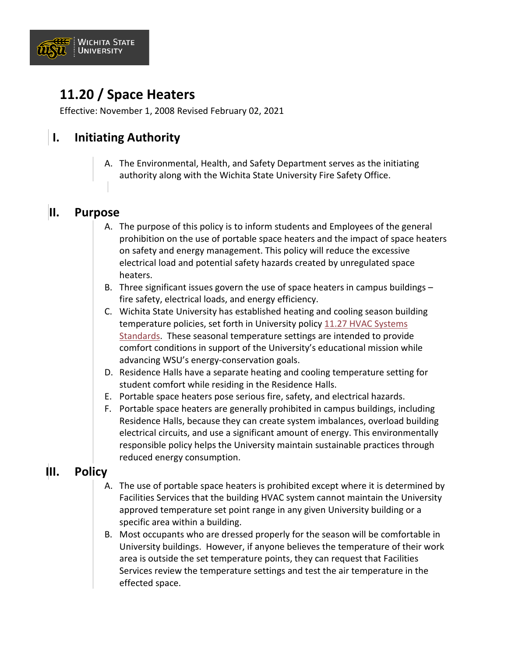

## **11.20 / Space Heaters**

Effective: November 1, 2008 Revised February 02, 2021

## **I. Initiating Authority**

A. The Environmental, Health, and Safety Department serves as the initiating authority along with the Wichita State University Fire Safety Office.

#### **II. Purpose**

- A. The purpose of this policy is to inform students and Employees of the general prohibition on the use of portable space heaters and the impact of space heaters on safety and energy management. This policy will reduce the excessive electrical load and potential safety hazards created by unregulated space heaters.
- B. Three significant issues govern the use of space heaters in campus buildings fire safety, electrical loads, and energy efficiency.
- C. Wichita State University has established heating and cooling season building temperature policies, set forth in University policy [11.27 HVAC Systems](https://www.wichita.edu/about/policy/ch_11/ch11_27.php)  [Standards.](https://www.wichita.edu/about/policy/ch_11/ch11_27.php) These seasonal temperature settings are intended to provide comfort conditions in support of the University's educational mission while advancing WSU's energy-conservation goals.
- D. Residence Halls have a separate heating and cooling temperature setting for student comfort while residing in the Residence Halls.
- E. Portable space heaters pose serious fire, safety, and electrical hazards.
- F. Portable space heaters are generally prohibited in campus buildings, including Residence Halls, because they can create system imbalances, overload building electrical circuits, and use a significant amount of energy. This environmentally responsible policy helps the University maintain sustainable practices through reduced energy consumption.

### **III. Policy**

- A. The use of portable space heaters is prohibited except where it is determined by Facilities Services that the building HVAC system cannot maintain the University approved temperature set point range in any given University building or a specific area within a building.
- B. Most occupants who are dressed properly for the season will be comfortable in University buildings. However, if anyone believes the temperature of their work area is outside the set temperature points, they can request that Facilities Services review the temperature settings and test the air temperature in the effected space.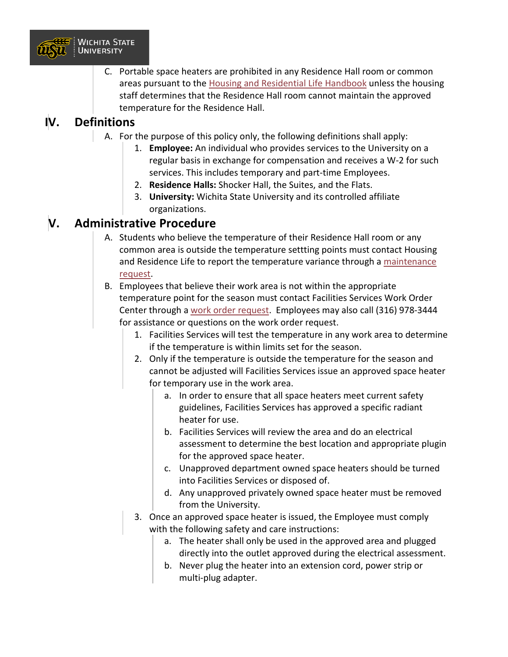

C. Portable space heaters are prohibited in any Residence Hall room or common areas pursuant to the [Housing and Residential Life Handbook](https://www.wichita.edu/student_life/housing/documents/HRL_HANDBOOK_7-29-20.pdf) unless the housing staff determines that the Residence Hall room cannot maintain the approved temperature for the Residence Hall.

### **IV. Definitions**

- A. For the purpose of this policy only, the following definitions shall apply:
	- 1. **Employee:** An individual who provides services to the University on a regular basis in exchange for compensation and receives a W-2 for such services. This includes temporary and part-time Employees.
	- 2. **Residence Halls:** Shocker Hall, the Suites, and the Flats.
	- 3. **University:** Wichita State University and its controlled affiliate organizations.

### **V. Administrative Procedure**

- A. Students who believe the temperature of their Residence Hall room or any common area is outside the temperature settting points must contact Housing and Residence Life to report the temperature variance through a [maintenance](https://www.wichita.edu/student_life/housing/Staff/Maintenance_Request.php)  [request.](https://www.wichita.edu/student_life/housing/Staff/Maintenance_Request.php)
- B. Employees that believe their work area is not within the appropriate temperature point for the season must contact Facilities Services Work Order Center through a [work order request.](https://www.wichita.edu/services/physical_plant/workorders.php) Employees may also call (316) 978-3444 for assistance or questions on the work order request.
	- 1. Facilities Services will test the temperature in any work area to determine if the temperature is within limits set for the season.
	- 2. Only if the temperature is outside the temperature for the season and cannot be adjusted will Facilities Services issue an approved space heater for temporary use in the work area.
		- a. In order to ensure that all space heaters meet current safety guidelines, Facilities Services has approved a specific radiant heater for use.
		- b. Facilities Services will review the area and do an electrical assessment to determine the best location and appropriate plugin for the approved space heater.
		- c. Unapproved department owned space heaters should be turned into Facilities Services or disposed of.
		- d. Any unapproved privately owned space heater must be removed from the University.
	- 3. Once an approved space heater is issued, the Employee must comply with the following safety and care instructions:
		- a. The heater shall only be used in the approved area and plugged directly into the outlet approved during the electrical assessment.
		- b. Never plug the heater into an extension cord, power strip or multi-plug adapter.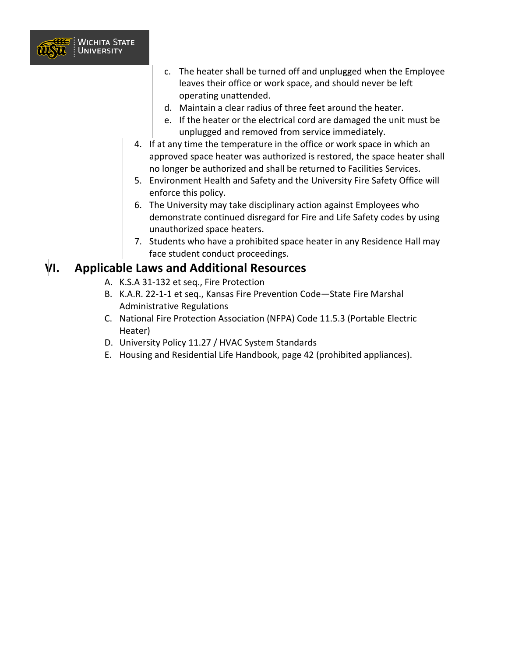

- c. The heater shall be turned off and unplugged when the Employee leaves their office or work space, and should never be left operating unattended.
- d. Maintain a clear radius of three feet around the heater.
- e. If the heater or the electrical cord are damaged the unit must be unplugged and removed from service immediately.
- 4. If at any time the temperature in the office or work space in which an approved space heater was authorized is restored, the space heater shall no longer be authorized and shall be returned to Facilities Services.
- 5. Environment Health and Safety and the University Fire Safety Office will enforce this policy.
- 6. The University may take disciplinary action against Employees who demonstrate continued disregard for Fire and Life Safety codes by using unauthorized space heaters.
- 7. Students who have a prohibited space heater in any Residence Hall may face student conduct proceedings.

#### **VI. Applicable Laws and Additional Resources**

- A. K.S.A 31-132 et seq., Fire Protection
- B. K.A.R. 22-1-1 et seq., Kansas Fire Prevention Code—State Fire Marshal Administrative Regulations
- C. National Fire Protection Association (NFPA) Code 11.5.3 (Portable Electric Heater)
- D. University Policy 11.27 / HVAC System Standards
- E. Housing and Residential Life Handbook, page 42 (prohibited appliances).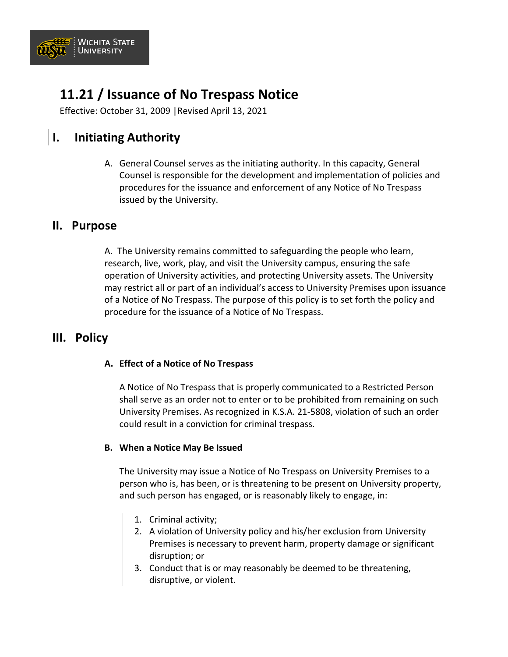

## **11.21 / Issuance of No Trespass Notice**

Effective: October 31, 2009 |Revised April 13, 2021

### **I. Initiating Authority**

A. General Counsel serves as the initiating authority. In this capacity, General Counsel is responsible for the development and implementation of policies and procedures for the issuance and enforcement of any Notice of No Trespass issued by the University.

#### **II. Purpose**

A. The University remains committed to safeguarding the people who learn, research, live, work, play, and visit the University campus, ensuring the safe operation of University activities, and protecting University assets. The University may restrict all or part of an individual's access to University Premises upon issuance of a Notice of No Trespass. The purpose of this policy is to set forth the policy and procedure for the issuance of a Notice of No Trespass.

### **III. Policy**

#### **A. Effect of a Notice of No Trespass**

A Notice of No Trespass that is properly communicated to a Restricted Person shall serve as an order not to enter or to be prohibited from remaining on such University Premises. As recognized in K.S.A. 21-5808, violation of such an order could result in a conviction for criminal trespass.

#### **B. When a Notice May Be Issued**

The University may issue a Notice of No Trespass on University Premises to a person who is, has been, or is threatening to be present on University property, and such person has engaged, or is reasonably likely to engage, in:

- 1. Criminal activity;
- 2. A violation of University policy and his/her exclusion from University Premises is necessary to prevent harm, property damage or significant disruption; or
- 3. Conduct that is or may reasonably be deemed to be threatening, disruptive, or violent.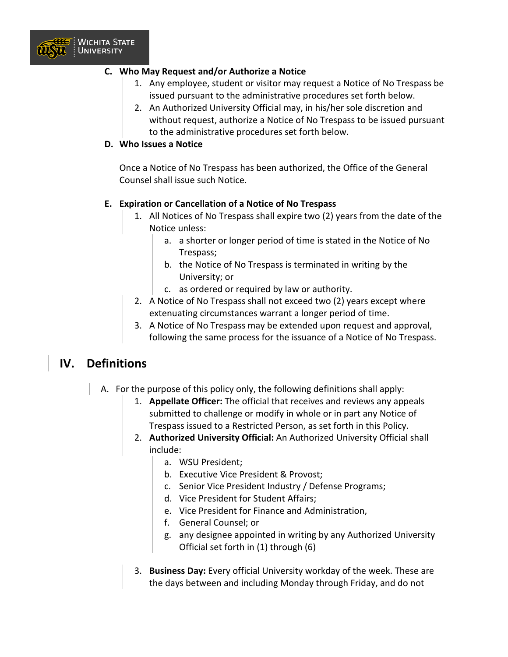

#### **C. Who May Request and/or Authorize a Notice**

- 1. Any employee, student or visitor may request a Notice of No Trespass be issued pursuant to the administrative procedures set forth below.
- 2. An Authorized University Official may, in his/her sole discretion and without request, authorize a Notice of No Trespass to be issued pursuant to the administrative procedures set forth below.

#### **D. Who Issues a Notice**

Once a Notice of No Trespass has been authorized, the Office of the General Counsel shall issue such Notice.

#### **E. Expiration or Cancellation of a Notice of No Trespass**

- 1. All Notices of No Trespass shall expire two (2) years from the date of the Notice unless:
	- a. a shorter or longer period of time is stated in the Notice of No Trespass;
	- b. the Notice of No Trespass is terminated in writing by the University; or
	- c. as ordered or required by law or authority.
- 2. A Notice of No Trespass shall not exceed two (2) years except where extenuating circumstances warrant a longer period of time.
- 3. A Notice of No Trespass may be extended upon request and approval, following the same process for the issuance of a Notice of No Trespass.

#### **IV. Definitions**

- A. For the purpose of this policy only, the following definitions shall apply:
	- 1. **Appellate Officer:** The official that receives and reviews any appeals submitted to challenge or modify in whole or in part any Notice of Trespass issued to a Restricted Person, as set forth in this Policy.
	- 2. **Authorized University Official:** An Authorized University Official shall include:
		- a. WSU President;
		- b. Executive Vice President & Provost;
		- c. Senior Vice President Industry / Defense Programs;
		- d. Vice President for Student Affairs;
		- e. Vice President for Finance and Administration,
		- f. General Counsel; or
		- g. any designee appointed in writing by any Authorized University Official set forth in (1) through (6)
	- 3. **Business Day:** Every official University workday of the week. These are the days between and including Monday through Friday, and do not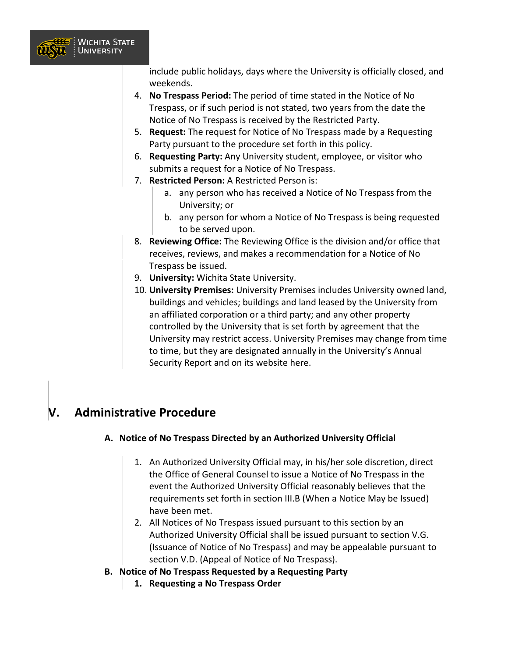

include public holidays, days where the University is officially closed, and weekends.

- 4. **No Trespass Period:** The period of time stated in the Notice of No Trespass, or if such period is not stated, two years from the date the Notice of No Trespass is received by the Restricted Party.
- 5. **Request:** The request for Notice of No Trespass made by a Requesting Party pursuant to the procedure set forth in this policy.
- 6. **Requesting Party:** Any University student, employee, or visitor who submits a request for a Notice of No Trespass.
- 7. **Restricted Person:** A Restricted Person is:
	- a. any person who has received a Notice of No Trespass from the University; or
	- b. any person for whom a Notice of No Trespass is being requested to be served upon.
- 8. **Reviewing Office:** The Reviewing Office is the division and/or office that receives, reviews, and makes a recommendation for a Notice of No Trespass be issued.
- 9. **University:** Wichita State University.
- 10. **University Premises:** University Premises includes University owned land, buildings and vehicles; buildings and land leased by the University from an affiliated corporation or a third party; and any other property controlled by the University that is set forth by agreement that the University may restrict access. University Premises may change from time to time, but they are designated annually in the University's Annual Security Report and on its website here.

### **V. Administrative Procedure**

#### **A. Notice of No Trespass Directed by an Authorized University Official**

- 1. An Authorized University Official may, in his/her sole discretion, direct the Office of General Counsel to issue a Notice of No Trespass in the event the Authorized University Official reasonably believes that the requirements set forth in section III.B (When a Notice May be Issued) have been met.
- 2. All Notices of No Trespass issued pursuant to this section by an Authorized University Official shall be issued pursuant to section V.G. (Issuance of Notice of No Trespass) and may be appealable pursuant to section V.D. (Appeal of Notice of No Trespass).
- **B. Notice of No Trespass Requested by a Requesting Party**
	- **1. Requesting a No Trespass Order**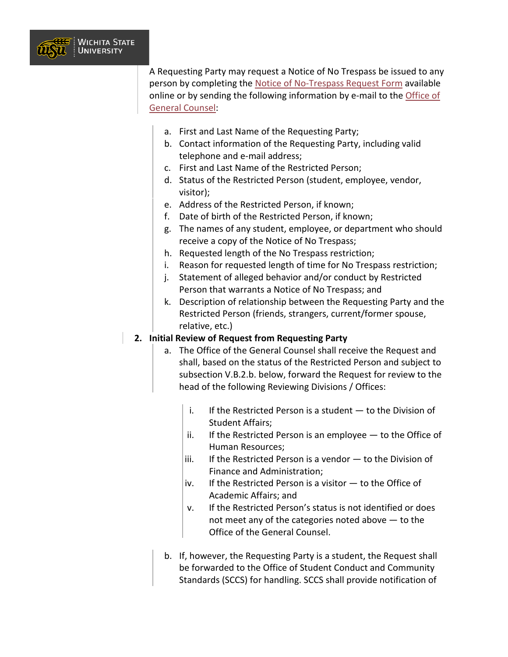

A Requesting Party may request a Notice of No Trespass be issued to any person by completing the [Notice of No-Trespass Request Form](https://www.wichita.edu/administration/generalcounsel/no-trespass-orders.php) available online or by sending the following information by e-mail to the Office of [General Counsel:](mailto:general.counsel@wichita.edu)

- a. First and Last Name of the Requesting Party;
- b. Contact information of the Requesting Party, including valid telephone and e-mail address;
- c. First and Last Name of the Restricted Person;
- d. Status of the Restricted Person (student, employee, vendor, visitor);
- e. Address of the Restricted Person, if known;
- f. Date of birth of the Restricted Person, if known;
- g. The names of any student, employee, or department who should receive a copy of the Notice of No Trespass;
- h. Requested length of the No Trespass restriction;
- i. Reason for requested length of time for No Trespass restriction;
- j. Statement of alleged behavior and/or conduct by Restricted Person that warrants a Notice of No Trespass; and
- k. Description of relationship between the Requesting Party and the Restricted Person (friends, strangers, current/former spouse, relative, etc.)

#### **2. Initial Review of Request from Requesting Party**

- a. The Office of the General Counsel shall receive the Request and shall, based on the status of the Restricted Person and subject to subsection V.B.2.b. below, forward the Request for review to the head of the following Reviewing Divisions / Offices:
	- i. If the Restricted Person is a student to the Division of Student Affairs;
	- ii. If the Restricted Person is an employee  $-$  to the Office of Human Resources;
	- iii. If the Restricted Person is a vendor  $-$  to the Division of Finance and Administration;
	- iv. If the Restricted Person is a visitor to the Office of Academic Affairs; and
	- v. If the Restricted Person's status is not identified or does not meet any of the categories noted above — to the Office of the General Counsel.
- b. If, however, the Requesting Party is a student, the Request shall be forwarded to the Office of Student Conduct and Community Standards (SCCS) for handling. SCCS shall provide notification of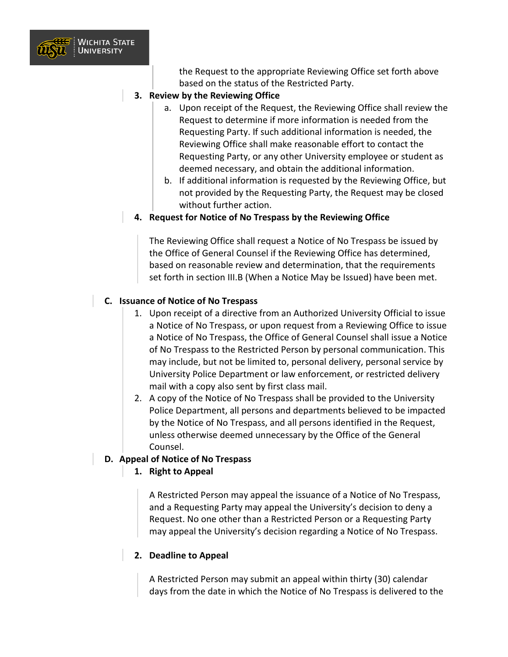

the Request to the appropriate Reviewing Office set forth above based on the status of the Restricted Party.

- **3. Review by the Reviewing Office**
	- a. Upon receipt of the Request, the Reviewing Office shall review the Request to determine if more information is needed from the Requesting Party. If such additional information is needed, the Reviewing Office shall make reasonable effort to contact the Requesting Party, or any other University employee or student as deemed necessary, and obtain the additional information.
	- b. If additional information is requested by the Reviewing Office, but not provided by the Requesting Party, the Request may be closed without further action.
- **4. Request for Notice of No Trespass by the Reviewing Office**

The Reviewing Office shall request a Notice of No Trespass be issued by the Office of General Counsel if the Reviewing Office has determined, based on reasonable review and determination, that the requirements set forth in section III.B (When a Notice May be Issued) have been met.

#### **C. Issuance of Notice of No Trespass**

- 1. Upon receipt of a directive from an Authorized University Official to issue a Notice of No Trespass, or upon request from a Reviewing Office to issue a Notice of No Trespass, the Office of General Counsel shall issue a Notice of No Trespass to the Restricted Person by personal communication. This may include, but not be limited to, personal delivery, personal service by University Police Department or law enforcement, or restricted delivery mail with a copy also sent by first class mail.
- 2. A copy of the Notice of No Trespass shall be provided to the University Police Department, all persons and departments believed to be impacted by the Notice of No Trespass, and all persons identified in the Request, unless otherwise deemed unnecessary by the Office of the General Counsel.

#### **D. Appeal of Notice of No Trespass**

**1. Right to Appeal**

A Restricted Person may appeal the issuance of a Notice of No Trespass, and a Requesting Party may appeal the University's decision to deny a Request. No one other than a Restricted Person or a Requesting Party may appeal the University's decision regarding a Notice of No Trespass.

#### **2. Deadline to Appeal**

A Restricted Person may submit an appeal within thirty (30) calendar days from the date in which the Notice of No Trespass is delivered to the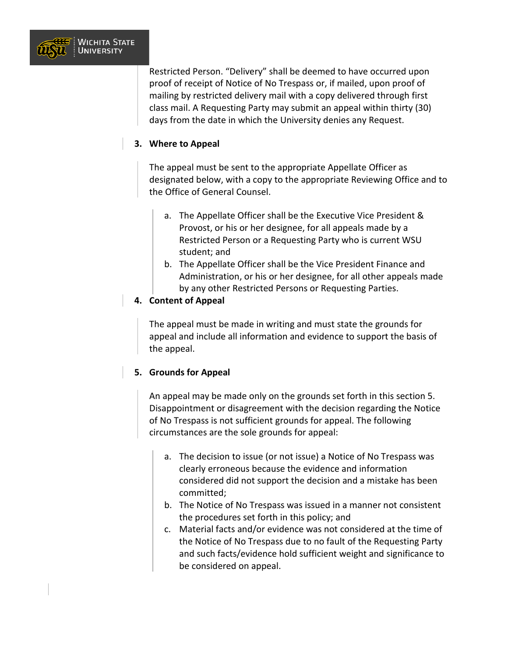

Restricted Person. "Delivery" shall be deemed to have occurred upon proof of receipt of Notice of No Trespass or, if mailed, upon proof of mailing by restricted delivery mail with a copy delivered through first class mail. A Requesting Party may submit an appeal within thirty (30) days from the date in which the University denies any Request.

#### **3. Where to Appeal**

The appeal must be sent to the appropriate Appellate Officer as designated below, with a copy to the appropriate Reviewing Office and to the Office of General Counsel.

- a. The Appellate Officer shall be the Executive Vice President & Provost, or his or her designee, for all appeals made by a Restricted Person or a Requesting Party who is current WSU student; and
- b. The Appellate Officer shall be the Vice President Finance and Administration, or his or her designee, for all other appeals made by any other Restricted Persons or Requesting Parties.

#### **4. Content of Appeal**

The appeal must be made in writing and must state the grounds for appeal and include all information and evidence to support the basis of the appeal.

#### **5. Grounds for Appeal**

An appeal may be made only on the grounds set forth in this section 5. Disappointment or disagreement with the decision regarding the Notice of No Trespass is not sufficient grounds for appeal. The following circumstances are the sole grounds for appeal:

- a. The decision to issue (or not issue) a Notice of No Trespass was clearly erroneous because the evidence and information considered did not support the decision and a mistake has been committed;
- b. The Notice of No Trespass was issued in a manner not consistent the procedures set forth in this policy; and
- c. Material facts and/or evidence was not considered at the time of the Notice of No Trespass due to no fault of the Requesting Party and such facts/evidence hold sufficient weight and significance to be considered on appeal.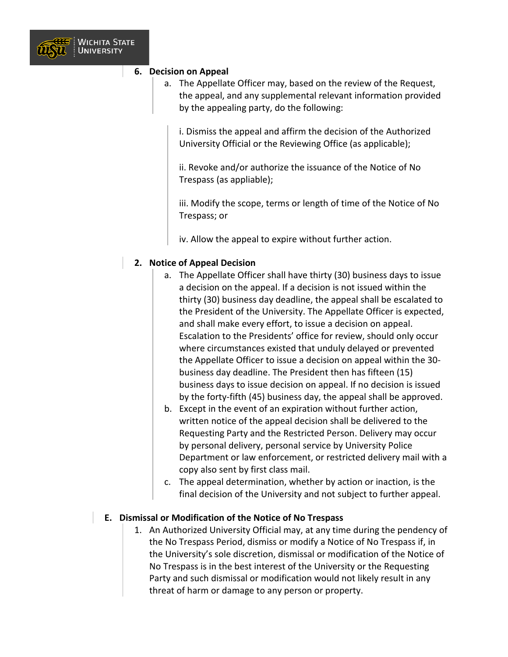

#### **6. Decision on Appeal**

a. The Appellate Officer may, based on the review of the Request, the appeal, and any supplemental relevant information provided by the appealing party, do the following:

i. Dismiss the appeal and affirm the decision of the Authorized University Official or the Reviewing Office (as applicable);

ii. Revoke and/or authorize the issuance of the Notice of No Trespass (as appliable);

iii. Modify the scope, terms or length of time of the Notice of No Trespass; or

iv. Allow the appeal to expire without further action.

#### **2. Notice of Appeal Decision**

- a. The Appellate Officer shall have thirty (30) business days to issue a decision on the appeal. If a decision is not issued within the thirty (30) business day deadline, the appeal shall be escalated to the President of the University. The Appellate Officer is expected, and shall make every effort, to issue a decision on appeal. Escalation to the Presidents' office for review, should only occur where circumstances existed that unduly delayed or prevented the Appellate Officer to issue a decision on appeal within the 30 business day deadline. The President then has fifteen (15) business days to issue decision on appeal. If no decision is issued by the forty-fifth (45) business day, the appeal shall be approved.
- b. Except in the event of an expiration without further action, written notice of the appeal decision shall be delivered to the Requesting Party and the Restricted Person. Delivery may occur by personal delivery, personal service by University Police Department or law enforcement, or restricted delivery mail with a copy also sent by first class mail.
- c. The appeal determination, whether by action or inaction, is the final decision of the University and not subject to further appeal.

#### **E. Dismissal or Modification of the Notice of No Trespass**

1. An Authorized University Official may, at any time during the pendency of the No Trespass Period, dismiss or modify a Notice of No Trespass if, in the University's sole discretion, dismissal or modification of the Notice of No Trespass is in the best interest of the University or the Requesting Party and such dismissal or modification would not likely result in any threat of harm or damage to any person or property.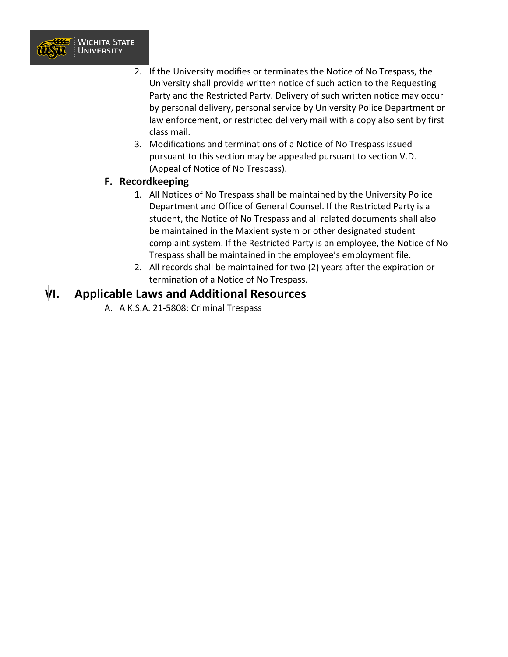

- 2. If the University modifies or terminates the Notice of No Trespass, the University shall provide written notice of such action to the Requesting Party and the Restricted Party. Delivery of such written notice may occur by personal delivery, personal service by University Police Department or law enforcement, or restricted delivery mail with a copy also sent by first class mail.
- 3. Modifications and terminations of a Notice of No Trespass issued pursuant to this section may be appealed pursuant to section V.D. (Appeal of Notice of No Trespass).

#### **F. Recordkeeping**

- 1. All Notices of No Trespass shall be maintained by the University Police Department and Office of General Counsel. If the Restricted Party is a student, the Notice of No Trespass and all related documents shall also be maintained in the Maxient system or other designated student complaint system. If the Restricted Party is an employee, the Notice of No Trespass shall be maintained in the employee's employment file.
- 2. All records shall be maintained for two (2) years after the expiration or termination of a Notice of No Trespass.

#### **VI. Applicable Laws and Additional Resources**

A. A K.S.A. 21-5808: Criminal Trespass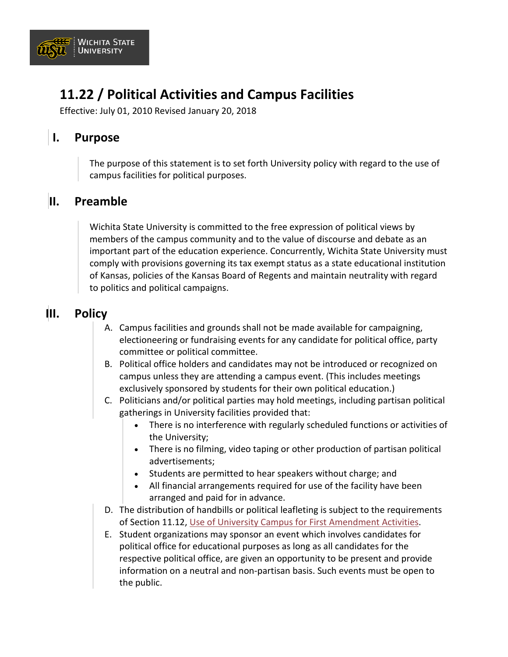

## **11.22 / Political Activities and Campus Facilities**

Effective: July 01, 2010 Revised January 20, 2018

### **I. Purpose**

The purpose of this statement is to set forth University policy with regard to the use of campus facilities for political purposes.

### **II. Preamble**

Wichita State University is committed to the free expression of political views by members of the campus community and to the value of discourse and debate as an important part of the education experience. Concurrently, Wichita State University must comply with provisions governing its tax exempt status as a state educational institution of Kansas, policies of the Kansas Board of Regents and maintain neutrality with regard to politics and political campaigns.

### **III. Policy**

- A. Campus facilities and grounds shall not be made available for campaigning, electioneering or fundraising events for any candidate for political office, party committee or political committee.
- B. Political office holders and candidates may not be introduced or recognized on campus unless they are attending a campus event. (This includes meetings exclusively sponsored by students for their own political education.)
- C. Politicians and/or political parties may hold meetings, including partisan political gatherings in University facilities provided that:
	- There is no interference with regularly scheduled functions or activities of the University;
	- There is no filming, video taping or other production of partisan political advertisements;
	- Students are permitted to hear speakers without charge; and
	- All financial arrangements required for use of the facility have been arranged and paid for in advance.
- D. The distribution of handbills or political leafleting is subject to the requirements of Section 11.12, [Use of University Campus for First Amendment Activities.](https://www.wichita.edu/about/policy/ch11/ch11_12.php)
- E. Student organizations may sponsor an event which involves candidates for political office for educational purposes as long as all candidates for the respective political office, are given an opportunity to be present and provide information on a neutral and non-partisan basis. Such events must be open to the public.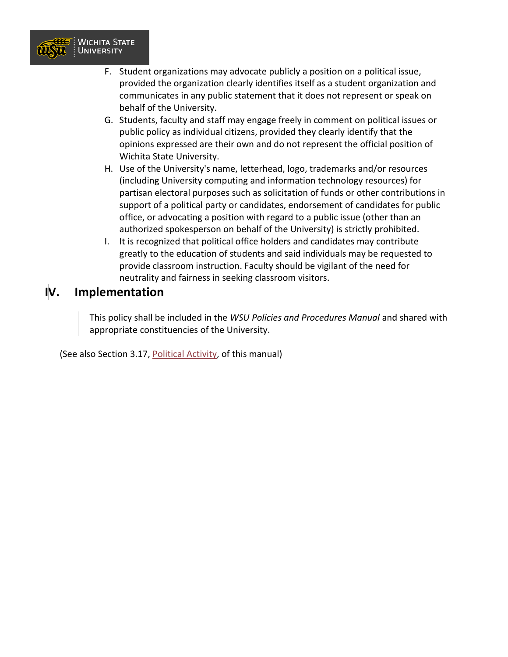

- F. Student organizations may advocate publicly a position on a political issue, provided the organization clearly identifies itself as a student organization and communicates in any public statement that it does not represent or speak on behalf of the University.
- G. Students, faculty and staff may engage freely in comment on political issues or public policy as individual citizens, provided they clearly identify that the opinions expressed are their own and do not represent the official position of Wichita State University.
- H. Use of the University's name, letterhead, logo, trademarks and/or resources (including University computing and information technology resources) for partisan electoral purposes such as solicitation of funds or other contributions in support of a political party or candidates, endorsement of candidates for public office, or advocating a position with regard to a public issue (other than an authorized spokesperson on behalf of the University) is strictly prohibited.
- I. It is recognized that political office holders and candidates may contribute greatly to the education of students and said individuals may be requested to provide classroom instruction. Faculty should be vigilant of the need for neutrality and fairness in seeking classroom visitors.

### **IV. Implementation**

This policy shall be included in the *WSU Policies and Procedures Manual* and shared with appropriate constituencies of the University.

(See also Section 3.17, [Political Activity,](https://www.wichita.edu/about/policy/ch_03/ch3_17.php) of this manual)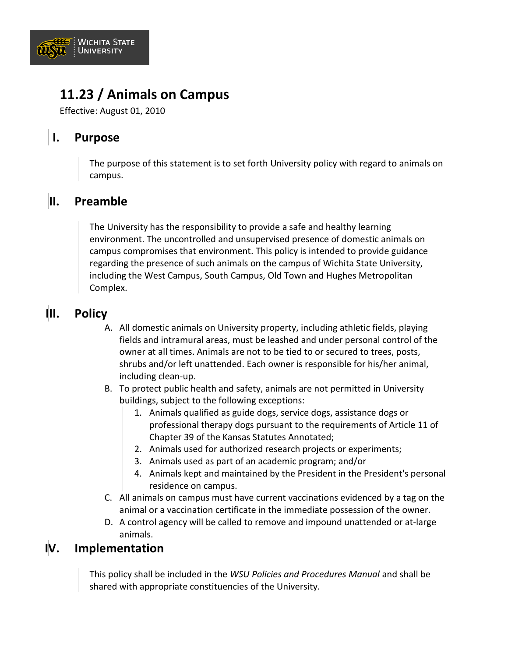

## **11.23 / Animals on Campus**

Effective: August 01, 2010

### **I. Purpose**

The purpose of this statement is to set forth University policy with regard to animals on campus.

### **II. Preamble**

The University has the responsibility to provide a safe and healthy learning environment. The uncontrolled and unsupervised presence of domestic animals on campus compromises that environment. This policy is intended to provide guidance regarding the presence of such animals on the campus of Wichita State University, including the West Campus, South Campus, Old Town and Hughes Metropolitan Complex.

### **III. Policy**

- A. All domestic animals on University property, including athletic fields, playing fields and intramural areas, must be leashed and under personal control of the owner at all times. Animals are not to be tied to or secured to trees, posts, shrubs and/or left unattended. Each owner is responsible for his/her animal, including clean-up.
- B. To protect public health and safety, animals are not permitted in University buildings, subject to the following exceptions:
	- 1. Animals qualified as guide dogs, service dogs, assistance dogs or professional therapy dogs pursuant to the requirements of Article 11 of Chapter 39 of the Kansas Statutes Annotated;
	- 2. Animals used for authorized research projects or experiments;
	- 3. Animals used as part of an academic program; and/or
	- 4. Animals kept and maintained by the President in the President's personal residence on campus.
- C. All animals on campus must have current vaccinations evidenced by a tag on the animal or a vaccination certificate in the immediate possession of the owner.
- D. A control agency will be called to remove and impound unattended or at-large animals.

#### **IV. Implementation**

This policy shall be included in the *WSU Policies and Procedures Manual* and shall be shared with appropriate constituencies of the University.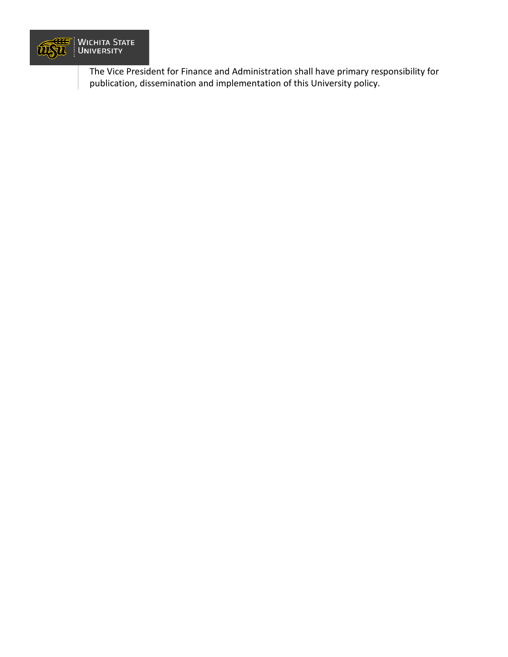

The Vice President for Finance and Administration shall have primary responsibility for publication, dissemination and implementation of this University policy.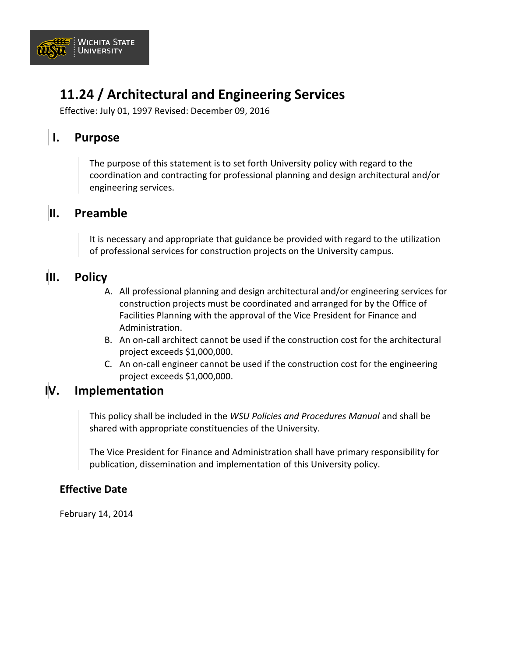

## **11.24 / Architectural and Engineering Services**

Effective: July 01, 1997 Revised: December 09, 2016

### **I. Purpose**

The purpose of this statement is to set forth University policy with regard to the coordination and contracting for professional planning and design architectural and/or engineering services.

#### **II. Preamble**

It is necessary and appropriate that guidance be provided with regard to the utilization of professional services for construction projects on the University campus.

#### **III. Policy**

- A. All professional planning and design architectural and/or engineering services for construction projects must be coordinated and arranged for by the Office of Facilities Planning with the approval of the Vice President for Finance and Administration.
- B. An on-call architect cannot be used if the construction cost for the architectural project exceeds \$1,000,000.
- C. An on-call engineer cannot be used if the construction cost for the engineering project exceeds \$1,000,000.

#### **IV. Implementation**

This policy shall be included in the *WSU Policies and Procedures Manual* and shall be shared with appropriate constituencies of the University.

The Vice President for Finance and Administration shall have primary responsibility for publication, dissemination and implementation of this University policy.

#### **Effective Date**

February 14, 2014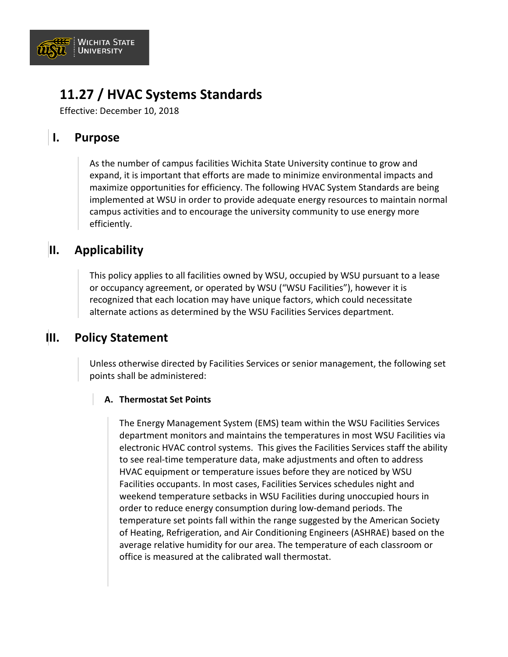

## **11.27 / HVAC Systems Standards**

Effective: December 10, 2018

### **I. Purpose**

As the number of campus facilities Wichita State University continue to grow and expand, it is important that efforts are made to minimize environmental impacts and maximize opportunities for efficiency. The following HVAC System Standards are being implemented at WSU in order to provide adequate energy resources to maintain normal campus activities and to encourage the university community to use energy more efficiently.

### **II. Applicability**

This policy applies to all facilities owned by WSU, occupied by WSU pursuant to a lease or occupancy agreement, or operated by WSU ("WSU Facilities"), however it is recognized that each location may have unique factors, which could necessitate alternate actions as determined by the WSU Facilities Services department.

### **III. Policy Statement**

Unless otherwise directed by Facilities Services or senior management, the following set points shall be administered:

#### **A. Thermostat Set Points**

The Energy Management System (EMS) team within the WSU Facilities Services department monitors and maintains the temperatures in most WSU Facilities via electronic HVAC control systems. This gives the Facilities Services staff the ability to see real-time temperature data, make adjustments and often to address HVAC equipment or temperature issues before they are noticed by WSU Facilities occupants. In most cases, Facilities Services schedules night and weekend temperature setbacks in WSU Facilities during unoccupied hours in order to reduce energy consumption during low-demand periods. The temperature set points fall within the range suggested by the American Society of Heating, Refrigeration, and Air Conditioning Engineers (ASHRAE) based on the average relative humidity for our area. The temperature of each classroom or office is measured at the calibrated wall thermostat.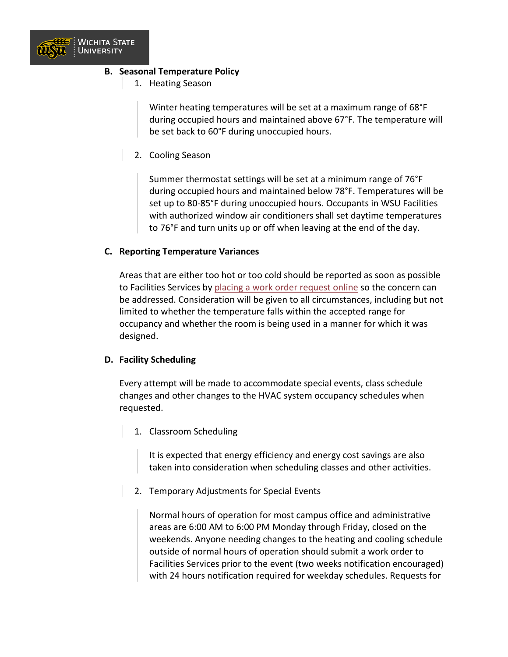

#### **B. Seasonal Temperature Policy**

1. Heating Season

Winter heating temperatures will be set at a maximum range of 68°F during occupied hours and maintained above 67°F. The temperature will be set back to 60°F during unoccupied hours.

2. Cooling Season

Summer thermostat settings will be set at a minimum range of 76°F during occupied hours and maintained below 78°F. Temperatures will be set up to 80-85°F during unoccupied hours. Occupants in WSU Facilities with authorized window air conditioners shall set daytime temperatures to 76°F and turn units up or off when leaving at the end of the day.

#### **C. Reporting Temperature Variances**

Areas that are either too hot or too cold should be reported as soon as possible to Facilities Services by [placing a work order request online](https://www.wichita.edu/services/physical_plant/index.php) so the concern can be addressed. Consideration will be given to all circumstances, including but not limited to whether the temperature falls within the accepted range for occupancy and whether the room is being used in a manner for which it was designed.

#### **D. Facility Scheduling**

Every attempt will be made to accommodate special events, class schedule changes and other changes to the HVAC system occupancy schedules when requested.

1. Classroom Scheduling

It is expected that energy efficiency and energy cost savings are also taken into consideration when scheduling classes and other activities.

2. Temporary Adjustments for Special Events

Normal hours of operation for most campus office and administrative areas are 6:00 AM to 6:00 PM Monday through Friday, closed on the weekends. Anyone needing changes to the heating and cooling schedule outside of normal hours of operation should submit a work order to Facilities Services prior to the event (two weeks notification encouraged) with 24 hours notification required for weekday schedules. Requests for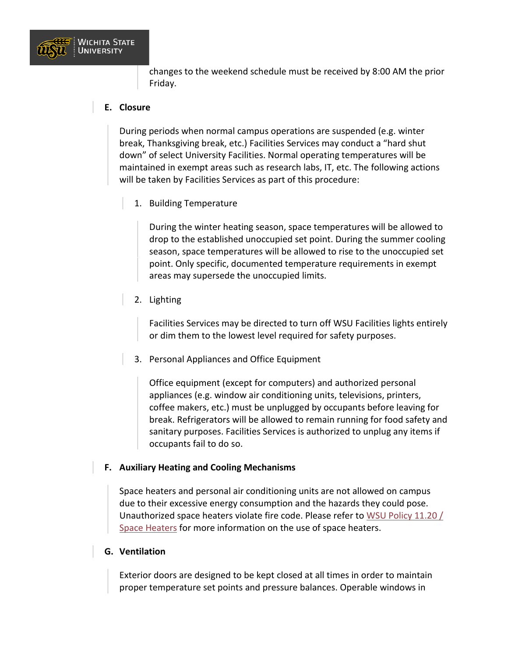

changes to the weekend schedule must be received by 8:00 AM the prior Friday.

#### **E. Closure**

During periods when normal campus operations are suspended (e.g. winter break, Thanksgiving break, etc.) Facilities Services may conduct a "hard shut down" of select University Facilities. Normal operating temperatures will be maintained in exempt areas such as research labs, IT, etc. The following actions will be taken by Facilities Services as part of this procedure:

1. Building Temperature

During the winter heating season, space temperatures will be allowed to drop to the established unoccupied set point. During the summer cooling season, space temperatures will be allowed to rise to the unoccupied set point. Only specific, documented temperature requirements in exempt areas may supersede the unoccupied limits.

2. Lighting

Facilities Services may be directed to turn off WSU Facilities lights entirely or dim them to the lowest level required for safety purposes.

3. Personal Appliances and Office Equipment

Office equipment (except for computers) and authorized personal appliances (e.g. window air conditioning units, televisions, printers, coffee makers, etc.) must be unplugged by occupants before leaving for break. Refrigerators will be allowed to remain running for food safety and sanitary purposes. Facilities Services is authorized to unplug any items if occupants fail to do so.

#### **F. Auxiliary Heating and Cooling Mechanisms**

Space heaters and personal air conditioning units are not allowed on campus due to their excessive energy consumption and the hazards they could pose. Unauthorized space heaters violate fire code. Please refer to [WSU Policy 11.20 /](https://www.wichita.edu/about/policy/ch_11/ch11_20.php)  [Space Heaters](https://www.wichita.edu/about/policy/ch_11/ch11_20.php) for more information on the use of space heaters.

#### **G. Ventilation**

Exterior doors are designed to be kept closed at all times in order to maintain proper temperature set points and pressure balances. Operable windows in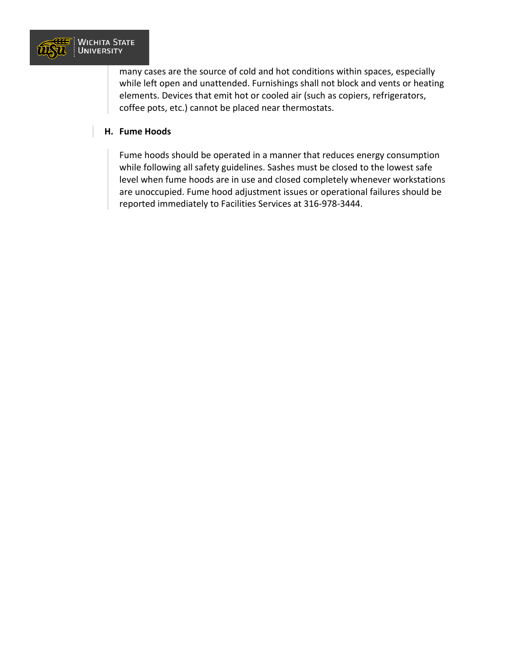

many cases are the source of cold and hot conditions within spaces, especially while left open and unattended. Furnishings shall not block and vents or heating elements. Devices that emit hot or cooled air (such as copiers, refrigerators, coffee pots, etc.) cannot be placed near thermostats.

#### **H. Fume Hoods**

Fume hoods should be operated in a manner that reduces energy consumption while following all safety guidelines. Sashes must be closed to the lowest safe level when fume hoods are in use and closed completely whenever workstations are unoccupied. Fume hood adjustment issues or operational failures should be reported immediately to Facilities Services at 316-978-3444.